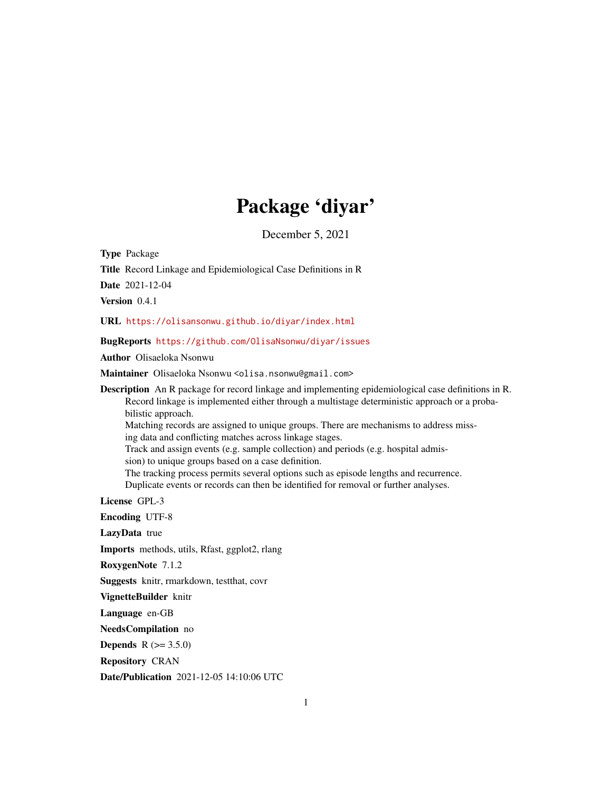## Package 'diyar'

December 5, 2021

<span id="page-0-0"></span>Type Package

Title Record Linkage and Epidemiological Case Definitions in R

Date 2021-12-04

Version 0.4.1

URL <https://olisansonwu.github.io/diyar/index.html>

BugReports <https://github.com/OlisaNsonwu/diyar/issues>

Author Olisaeloka Nsonwu

Maintainer Olisaeloka Nsonwu <olisa.nsonwu@gmail.com>

Description An R package for record linkage and implementing epidemiological case definitions in R. Record linkage is implemented either through a multistage deterministic approach or a probabilistic approach. Matching records are assigned to unique groups. There are mechanisms to address missing data and conflicting matches across linkage stages. Track and assign events (e.g. sample collection) and periods (e.g. hospital admission) to unique groups based on a case definition. The tracking process permits several options such as episode lengths and recurrence. Duplicate events or records can then be identified for removal or further analyses.

License GPL-3

Encoding UTF-8

LazyData true

Imports methods, utils, Rfast, ggplot2, rlang

RoxygenNote 7.1.2

Suggests knitr, rmarkdown, testthat, covr

VignetteBuilder knitr

Language en-GB

NeedsCompilation no

**Depends** R  $(>= 3.5.0)$ 

Repository CRAN

Date/Publication 2021-12-05 14:10:06 UTC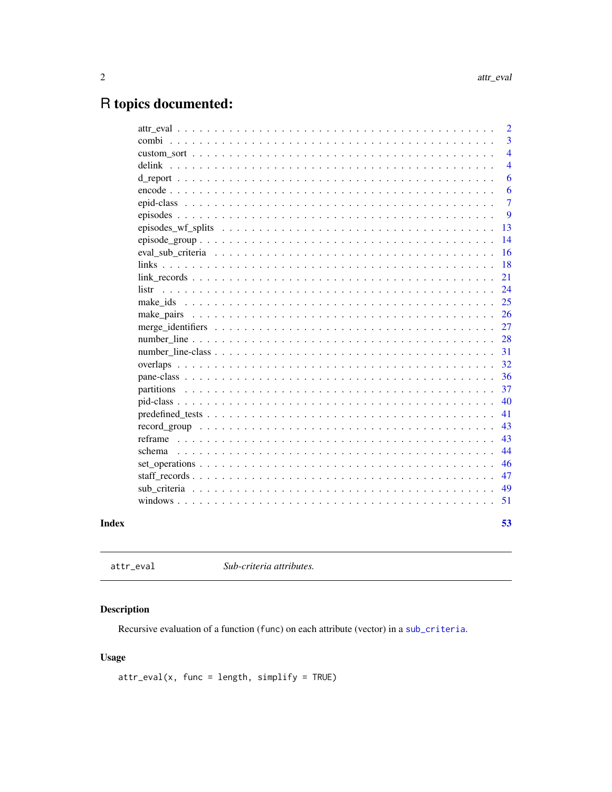## <span id="page-1-0"></span>R topics documented:

|            | $\mathcal{D}_{\mathcal{L}}$ |
|------------|-----------------------------|
|            | 3                           |
|            | $\overline{4}$              |
|            | 4                           |
|            | 6                           |
|            | 6                           |
|            | $\overline{7}$              |
|            | 9                           |
|            | 13                          |
|            | 14                          |
|            | 16                          |
|            | 18                          |
|            | 21                          |
| listr      | 24                          |
|            | 25                          |
|            | 26                          |
|            | 27                          |
|            | 28                          |
|            | 31                          |
|            | 32                          |
|            | 36                          |
| partitions | 37                          |
|            | 40                          |
|            | 41                          |
|            | 43                          |
| reframe    | 43                          |
| schema     | 44                          |
|            | 46                          |
|            | 47                          |
|            | 49                          |
|            | 51                          |
|            |                             |
|            | 53                          |

```
Index
```

```
attr_eval
```
Sub-criteria attributes.

## Description

Recursive evaluation of a function (func) on each attribute (vector) in a sub\_criteria.

## **Usage**

 $attr\_eval(x, func = length, simplify = TRUE)$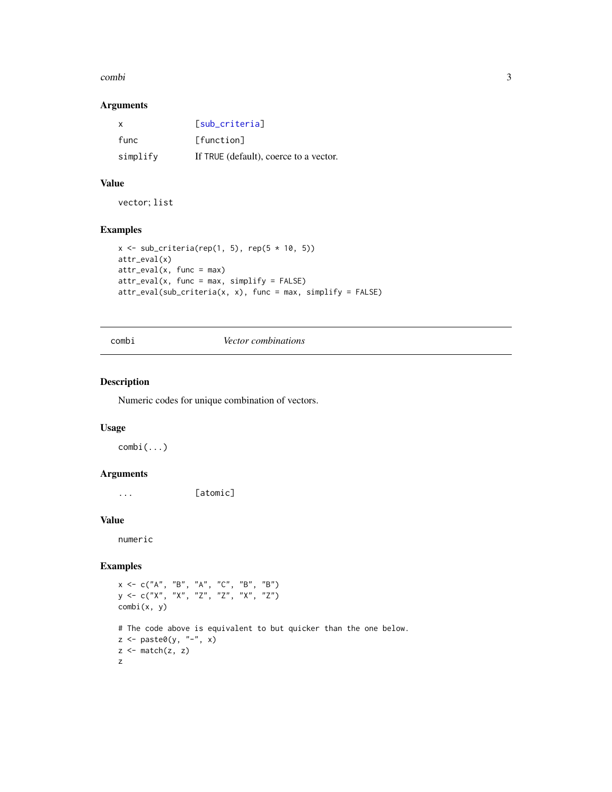#### <span id="page-2-0"></span>combi  $\sim$  3

## Arguments

| x        | <b>Tsub criterial</b>                  |
|----------|----------------------------------------|
| func     | [function]                             |
| simplify | If TRUE (default), coerce to a vector. |

## Value

vector; list

## Examples

```
x \le sub_criteria(rep(1, 5), rep(5 * 10, 5))
attr_eval(x)
attr_eval(x, func = max)
attr\_eval(x, func = max, simplify = FALSE)attr_eval(sub_criteria(x, x), func = max, simplify = FALSE)
```
#### combi *Vector combinations*

## Description

Numeric codes for unique combination of vectors.

## Usage

combi(...)

## Arguments

... [atomic]

#### Value

numeric

```
x \leq -c("A", "B", "A", "C", "B", "B")y <- c("X", "X", "Z", "Z", "X", "Z")
combi(x, y)
# The code above is equivalent to but quicker than the one below.
z \leftarrow paste0(y, "-", x)
z \le match(z, z)
z
```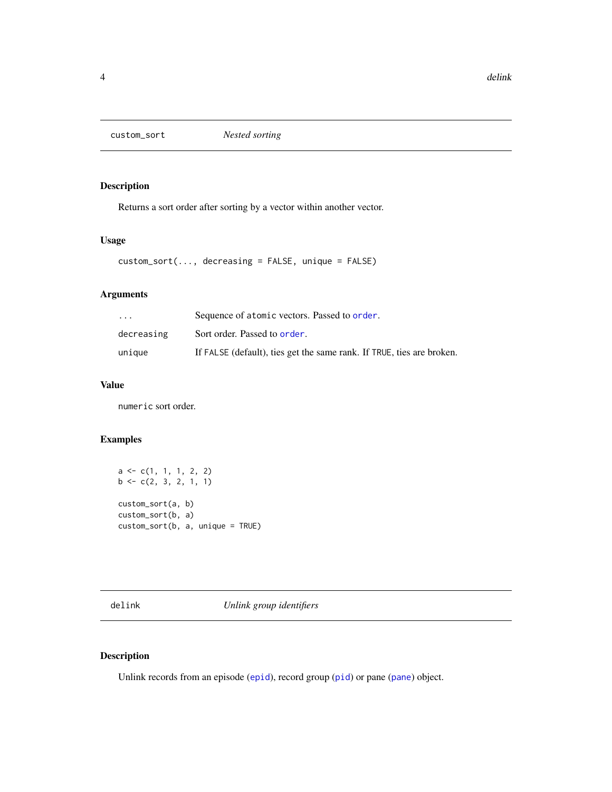<span id="page-3-2"></span><span id="page-3-0"></span>

## Description

Returns a sort order after sorting by a vector within another vector.

## Usage

```
custom_sort(..., decreasing = FALSE, unique = FALSE)
```
## Arguments

| $\cdots$   | Sequence of atomic vectors. Passed to order.                          |
|------------|-----------------------------------------------------------------------|
| decreasing | Sort order. Passed to <b>order</b> .                                  |
| unique     | If FALSE (default), ties get the same rank. If TRUE, ties are broken. |

## Value

numeric sort order.

## Examples

```
a \leftarrow c(1, 1, 1, 2, 2)b \leftarrow c(2, 3, 2, 1, 1)custom_sort(a, b)
custom_sort(b, a)
custom_sort(b, a, unique = TRUE)
```
<span id="page-3-1"></span>delink *Unlink group identifiers*

## Description

Unlink records from an episode ([epid](#page-6-1)), record group ([pid](#page-39-1)) or pane ([pane](#page-35-1)) object.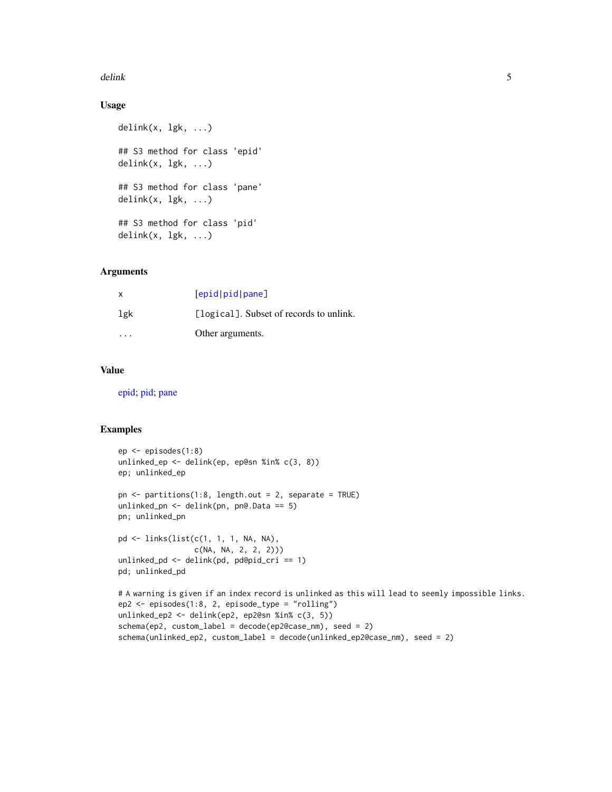#### <span id="page-4-0"></span>delink 5

## Usage

```
delink(x, lgk, ...)
## S3 method for class 'epid'
delink(x, lgk, ...)
## S3 method for class 'pane'
delink(x, lgk, ...)
## S3 method for class 'pid'
delink(x, lgk, ...)
```
## Arguments

| X   | [epid pid panel]                        |
|-----|-----------------------------------------|
| lgk | [logical]. Subset of records to unlink. |
| .   | Other arguments.                        |

## Value

[epid;](#page-6-1) [pid;](#page-39-1) [pane](#page-35-1)

```
ep <- episodes(1:8)
unlinked_ep <- delink(ep, ep@sn %in% c(3, 8))
ep; unlinked_ep
pn \le partitions(1:8, length.out = 2, separate = TRUE)
unlinked_pn <- delink(pn, pn@.Data == 5)
pn; unlinked_pn
pd <- links(list(c(1, 1, 1, NA, NA),
                 c(NA, NA, 2, 2, 2)))
unlinked_pd <- delink(pd, pd@pid_cri == 1)
pd; unlinked_pd
# A warning is given if an index record is unlinked as this will lead to seemly impossible links.
ep2 <- episodes(1:8, 2, episode_type = "rolling")
unlinked_ep2 <- delink(ep2, ep2@sn %in% c(3, 5))
schema(ep2, custom_label = decode(ep2@case_nm), seed = 2)
schema(unlinked_ep2, custom_label = decode(unlinked_ep2@case_nm), seed = 2)
```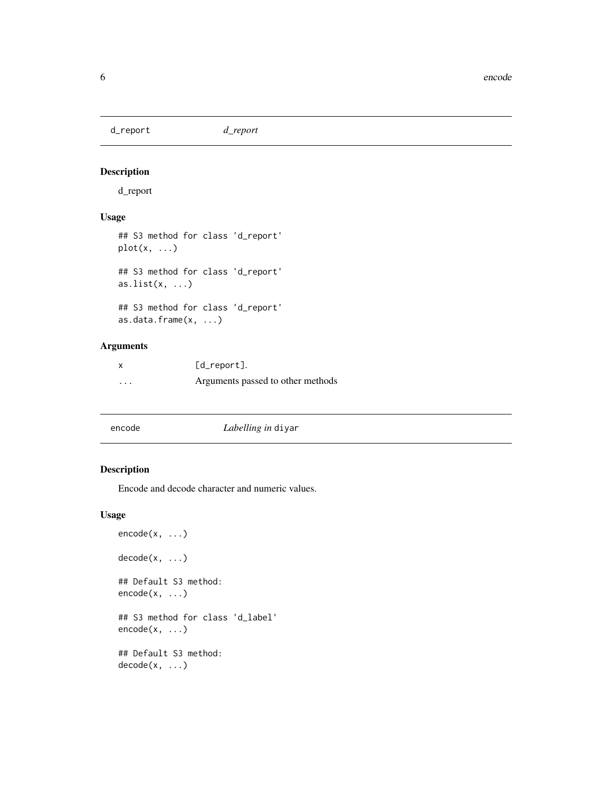<span id="page-5-0"></span>d\_report *d\_report*

## Description

d\_report

## Usage

```
## S3 method for class 'd_report'
plot(x, \ldots)## S3 method for class 'd_report'
as.list(x, \ldots)## S3 method for class 'd_report'
as.data.frame(x, ...)
```
## Arguments

| X        | [d_report].                       |
|----------|-----------------------------------|
| $\cdots$ | Arguments passed to other methods |

| Labelling in diyar<br>encode |
|------------------------------|
|------------------------------|

## Description

Encode and decode character and numeric values.

## Usage

```
encode(x, ...)
decode(x, ...)
## Default S3 method:
encode(x, ...)
## S3 method for class 'd_label'
encode(x, \ldots)## Default S3 method:
decode(x, ...)
```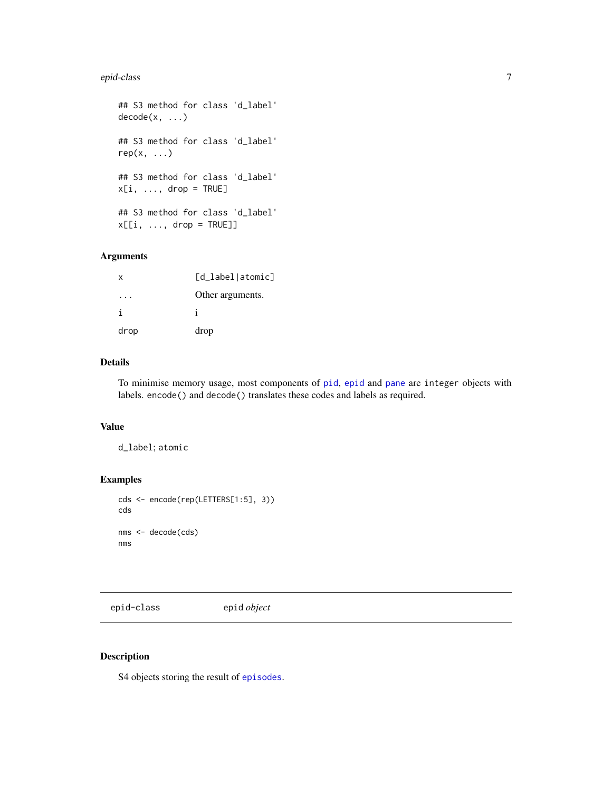#### <span id="page-6-0"></span>epid-class 7

```
## S3 method for class 'd_label'
decode(x, \ldots)## S3 method for class 'd_label'
rep(x, \ldots)## S3 method for class 'd_label'
x[i, ..., drop = TRUE]## S3 method for class 'd_label'
x[[i, ..., drop = TRUE]]
```
## Arguments

| x    | [d_label atomic] |
|------|------------------|
|      | Other arguments. |
| ı.   |                  |
| drop | drop             |

## Details

To minimise memory usage, most components of [pid](#page-39-1), [epid](#page-6-1) and [pane](#page-35-1) are integer objects with labels. encode() and decode() translates these codes and labels as required.

## Value

d\_label; atomic

## Examples

```
cds <- encode(rep(LETTERS[1:5], 3))
cds
nms <- decode(cds)
nms
```
<span id="page-6-1"></span>epid-class epid *object*

## Description

S4 objects storing the result of [episodes](#page-8-1).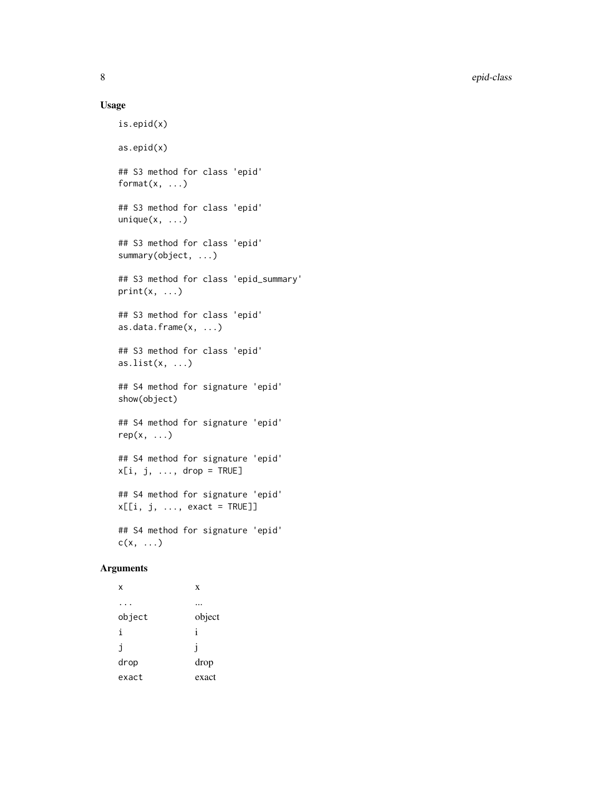#### Usage

```
is.epid(x)
as.epid(x)
## S3 method for class 'epid'
format(x, \ldots)## S3 method for class 'epid'
unique(x, \ldots)## S3 method for class 'epid'
summary(object, ...)
## S3 method for class 'epid_summary'
print(x, \ldots)## S3 method for class 'epid'
as.data.frame(x, ...)
## S3 method for class 'epid'
as.list(x, ...)## S4 method for signature 'epid'
show(object)
## S4 method for signature 'epid'
rep(x, \ldots)## S4 method for signature 'epid'
x[i, j, ..., drop = TRUE]## S4 method for signature 'epid'
x[[i, j, ..., exact = TRUE]]## S4 method for signature 'epid'
c(x, \ldots)
```
## Arguments

| x      | X            |
|--------|--------------|
|        |              |
| object | object       |
| i      | i            |
| j      | $\mathbf{1}$ |
| drop   | drop         |
| exact  | exact        |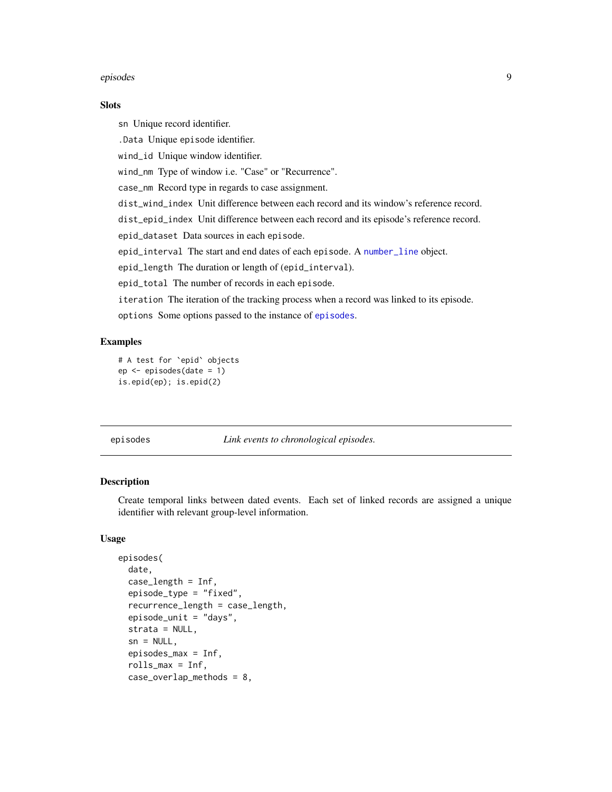#### <span id="page-8-0"></span>episodes and the extension of the extension of the extension of the extension of the extension of the extension of the extension of the extension of the extension of the extension of the extension of the extension of the e

#### **Slots**

sn Unique record identifier.

.Data Unique episode identifier.

wind\_id Unique window identifier.

wind\_nm Type of window i.e. "Case" or "Recurrence".

case\_nm Record type in regards to case assignment.

dist\_wind\_index Unit difference between each record and its window's reference record.

dist\_epid\_index Unit difference between each record and its episode's reference record.

epid\_dataset Data sources in each episode.

epid\_interval The start and end dates of each episode. A [number\\_line](#page-27-1) object.

epid\_length The duration or length of (epid\_interval).

epid\_total The number of records in each episode.

iteration The iteration of the tracking process when a record was linked to its episode.

options Some options passed to the instance of [episodes](#page-8-1).

## Examples

```
# A test for `epid` objects
ep <- episodes(date = 1)
is.epid(ep); is.epid(2)
```
<span id="page-8-1"></span>

episodes *Link events to chronological episodes.*

#### **Description**

Create temporal links between dated events. Each set of linked records are assigned a unique identifier with relevant group-level information.

#### Usage

```
episodes(
  date,
  case_length = Inf,
  episode_type = "fixed",
  recurrence_length = case_length,
  episode_unit = "days",
  strata = NULL,
  sn = NULL,
  episodes_max = Inf,
  rolls_max = Inf,case_overlap_methods = 8,
```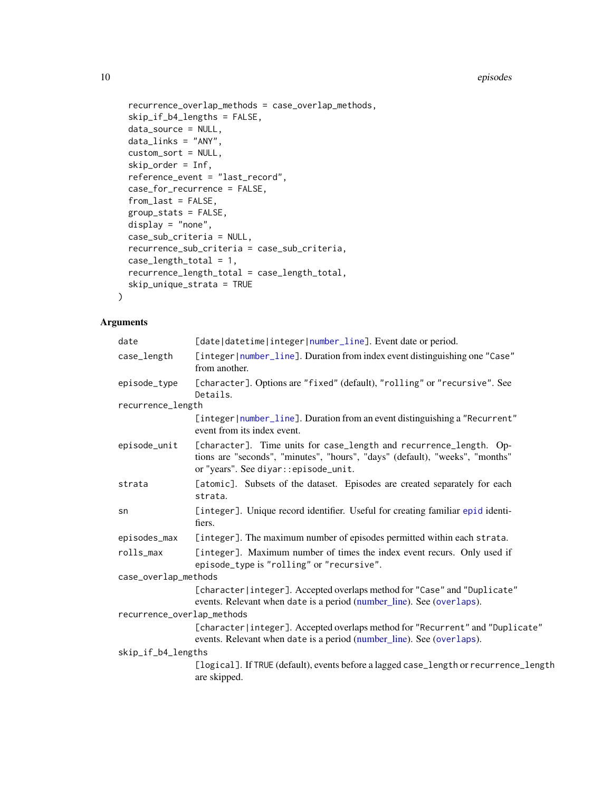```
recurrence_overlap_methods = case_overlap_methods,
 skip_if_b4_lengths = FALSE,
 data_source = NULL,
 data_links = "ANY",
  custom_sort = NULL,
  skip_order = Inf,
  reference_event = "last_record",
  case_for_recurrence = FALSE,
  from_last = FALSE,
 group_stats = FALSE,
 display = "none",
 case_sub_criteria = NULL,
 recurrence_sub_criteria = case_sub_criteria,
 case_length_total = 1,
 recurrence_length_total = case_length_total,
 skip_unique_strata = TRUE
\mathcal{L}
```
## Arguments

| date                       | [date datetime integer number_line]. Event date or period.                                                                                                                                 |
|----------------------------|--------------------------------------------------------------------------------------------------------------------------------------------------------------------------------------------|
| case_length                | [integer   number_line]. Duration from index event distinguishing one "Case"<br>from another.                                                                                              |
| episode_type               | [character]. Options are "fixed" (default), "rolling" or "recursive". See<br>Details.                                                                                                      |
| recurrence_length          |                                                                                                                                                                                            |
|                            | [integer   number_line]. Duration from an event distinguishing a "Recurrent"<br>event from its index event.                                                                                |
| episode_unit               | [character]. Time units for case_length and recurrence_length. Op-<br>tions are "seconds", "minutes", "hours", "days" (default), "weeks", "months"<br>or "years". See diyar::episode_unit. |
| strata                     | [atomic]. Subsets of the dataset. Episodes are created separately for each<br>strata.                                                                                                      |
| sn                         | [integer]. Unique record identifier. Useful for creating familiar epid identi-<br>fiers.                                                                                                   |
| episodes_max               | [integer]. The maximum number of episodes permitted within each strata.                                                                                                                    |
| rolls_max                  | [integer]. Maximum number of times the index event recurs. Only used if<br>episode_type is "rolling" or "recursive".                                                                       |
| case_overlap_methods       |                                                                                                                                                                                            |
|                            | [character integer]. Accepted overlaps method for "Case" and "Duplicate"<br>events. Relevant when date is a period (number_line). See (overlaps).                                          |
| recurrence_overlap_methods |                                                                                                                                                                                            |
|                            | [character integer]. Accepted overlaps method for "Recurrent" and "Duplicate"<br>events. Relevant when date is a period (number_line). See (overlaps).                                     |
| skip_if_b4_lengths         |                                                                                                                                                                                            |
|                            | [logical]. If TRUE (default), events before a lagged case_length or recurrence_length<br>are skipped.                                                                                      |
|                            |                                                                                                                                                                                            |

<span id="page-9-0"></span>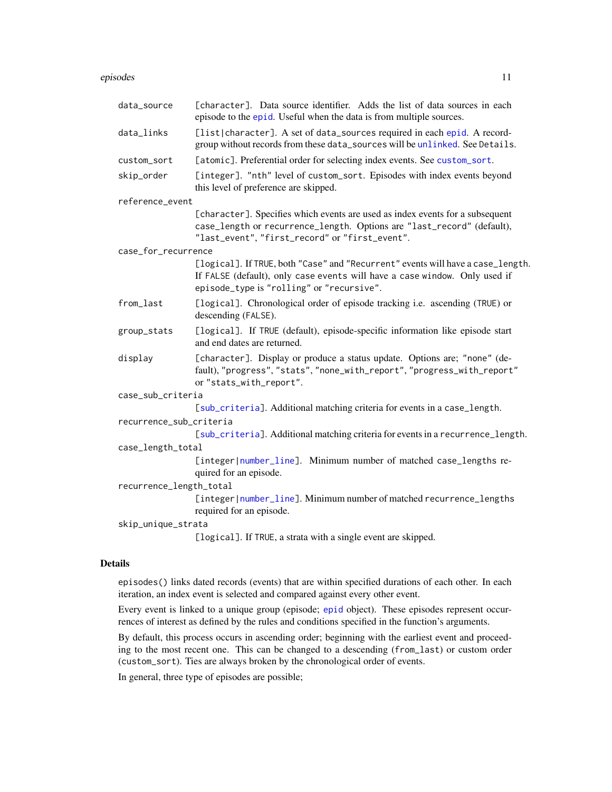#### <span id="page-10-0"></span>episodes and the set of the set of the set of the set of the set of the set of the set of the set of the set of the set of the set of the set of the set of the set of the set of the set of the set of the set of the set of

|                | data_source             | [character]. Data source identifier. Adds the list of data sources in each<br>episode to the epid. Useful when the data is from multiple sources.                                                          |
|----------------|-------------------------|------------------------------------------------------------------------------------------------------------------------------------------------------------------------------------------------------------|
|                | data_links              | [list character]. A set of data_sources required in each epid. A record-<br>group without records from these data_sources will be unlinked. See Details.                                                   |
|                | custom_sort             | [atomic]. Preferential order for selecting index events. See custom_sort.                                                                                                                                  |
|                | skip_order              | [integer]. "nth" level of custom_sort. Episodes with index events beyond<br>this level of preference are skipped.                                                                                          |
|                | reference_event         |                                                                                                                                                                                                            |
|                |                         | [character]. Specifies which events are used as index events for a subsequent<br>case_length or recurrence_length. Options are "last_record" (default),<br>"last_event", "first_record" or "first_event".  |
|                | case_for_recurrence     |                                                                                                                                                                                                            |
|                |                         | [logical]. If TRUE, both "Case" and "Recurrent" events will have a case_length.<br>If FALSE (default), only case events will have a case window. Only used if<br>episode_type is "rolling" or "recursive". |
|                | from_last               | [logical]. Chronological order of episode tracking i.e. ascending (TRUE) or<br>descending (FALSE).                                                                                                         |
|                | group_stats             | [logical]. If TRUE (default), episode-specific information like episode start<br>and end dates are returned.                                                                                               |
|                | display                 | [character]. Display or produce a status update. Options are; "none" (de-<br>fault), "progress", "stats", "none_with_report", "progress_with_report"<br>or "stats_with_report".                            |
|                | case_sub_criteria       |                                                                                                                                                                                                            |
|                |                         | [sub_criteria]. Additional matching criteria for events in a case_length.                                                                                                                                  |
|                | recurrence_sub_criteria |                                                                                                                                                                                                            |
|                |                         | [sub_criteria]. Additional matching criteria for events in a recurrence_length.                                                                                                                            |
|                | case_length_total       |                                                                                                                                                                                                            |
|                |                         | [integer number_line]. Minimum number of matched case_lengths re-<br>quired for an episode.                                                                                                                |
|                | recurrence_length_total |                                                                                                                                                                                                            |
|                |                         | [integer   number_line]. Minimum number of matched recurrence_lengths<br>required for an episode.                                                                                                          |
|                | skip_unique_strata      |                                                                                                                                                                                                            |
|                |                         | [logical]. If TRUE, a strata with a single event are skipped.                                                                                                                                              |
| <b>Details</b> |                         |                                                                                                                                                                                                            |

episodes() links dated records (events) that are within specified durations of each other. In each iteration, an index event is selected and compared against every other event.

Every event is linked to a unique group (episode; [epid](#page-6-1) object). These episodes represent occurrences of interest as defined by the rules and conditions specified in the function's arguments.

By default, this process occurs in ascending order; beginning with the earliest event and proceeding to the most recent one. This can be changed to a descending (from\_last) or custom order (custom\_sort). Ties are always broken by the chronological order of events.

In general, three type of episodes are possible;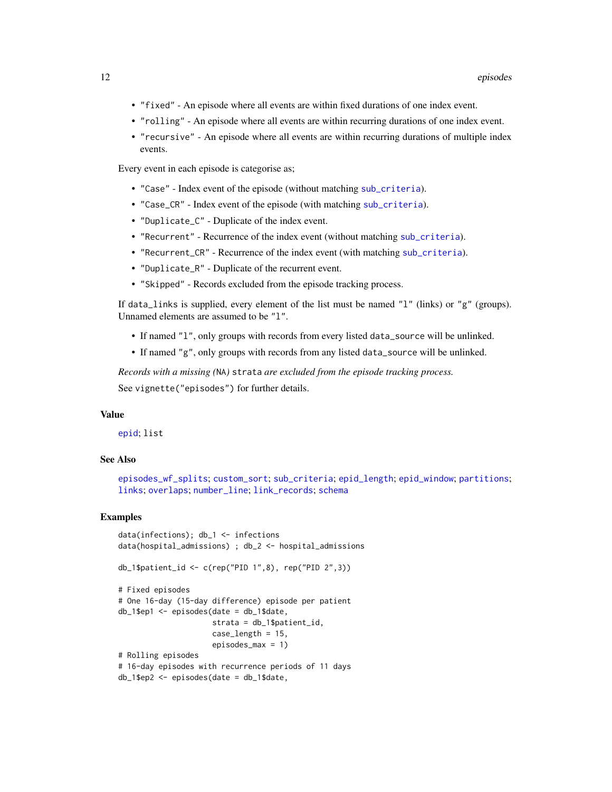- <span id="page-11-0"></span>• "fixed" - An episode where all events are within fixed durations of one index event.
- "rolling" An episode where all events are within recurring durations of one index event.
- "recursive" An episode where all events are within recurring durations of multiple index events.

Every event in each episode is categorise as;

- "Case" Index event of the episode (without matching [sub\\_criteria](#page-48-1)).
- "Case\_CR" Index event of the episode (with matching [sub\\_criteria](#page-48-1)).
- "Duplicate\_C" Duplicate of the index event.
- "Recurrent" Recurrence of the index event (without matching [sub\\_criteria](#page-48-1)).
- "Recurrent\_CR" Recurrence of the index event (with matching [sub\\_criteria](#page-48-1)).
- "Duplicate\_R" Duplicate of the recurrent event.
- "Skipped" Records excluded from the episode tracking process.

If data\_links is supplied, every element of the list must be named "l" (links) or "g" (groups). Unnamed elements are assumed to be "l".

- If named "l", only groups with records from every listed data\_source will be unlinked.
- If named "g", only groups with records from any listed data\_source will be unlinked.

*Records with a missing (*NA*)* strata *are excluded from the episode tracking process.*

See vignette("episodes") for further details.

#### Value

[epid](#page-6-1); list

#### See Also

```
episodes_wf_splits; custom_sort; sub_criteria; epid_length; epid_window; partitions;
links; overlaps; number_line; link_records; schema
```

```
data(infections); db_1 <- infections
data(hospital_admissions) ; db_2 <- hospital_admissions
db_1$patient_id <- c(rep("PID 1",8), rep("PID 2",3))
# Fixed episodes
# One 16-day (15-day difference) episode per patient
db_1$ep1 <- episodes(date = db_1$date,
                     strata = db_1$patient_id,
                     case_length = 15,
                     episodes_max = 1)
# Rolling episodes
# 16-day episodes with recurrence periods of 11 days
db_1$ep2 <- episodes(date = db_1$date,
```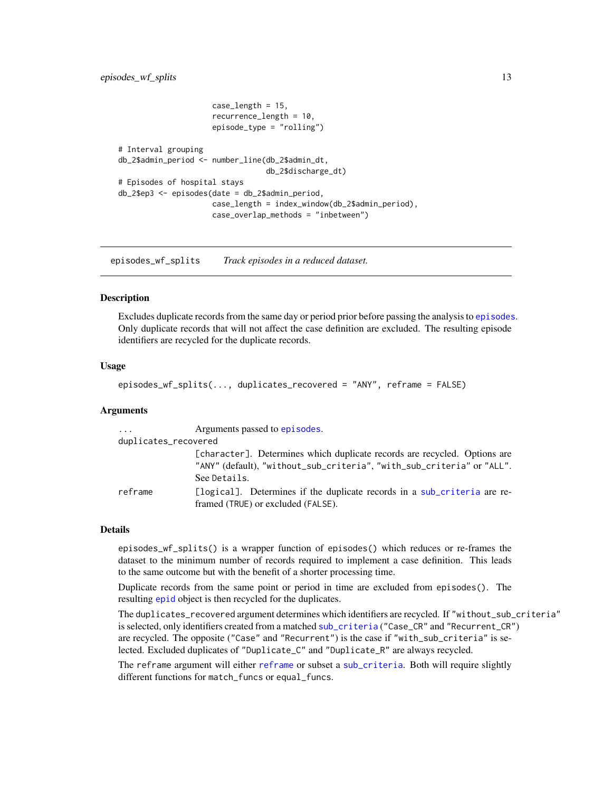## <span id="page-12-0"></span>episodes\_wf\_splits 13

```
case_length = 15,
                     recurrence_length = 10,
                     episode_type = "rolling")
# Interval grouping
db_2$admin_period <- number_line(db_2$admin_dt,
                                 db_2$discharge_dt)
# Episodes of hospital stays
db_2$ep3 <- episodes(date = db_2$admin_period,
                     case_length = index_window(db_2$admin_period),
                     case_overlap_methods = "inbetween")
```
<span id="page-12-1"></span>episodes\_wf\_splits *Track episodes in a reduced dataset.*

#### Description

Excludes duplicate records from the same day or period prior before passing the analysis to [episodes](#page-8-1). Only duplicate records that will not affect the case definition are excluded. The resulting episode identifiers are recycled for the duplicate records.

#### Usage

```
episodes_wf_splits(..., duplicates_recovered = "ANY", reframe = FALSE)
```
#### Arguments

| $\ddotsc$            | Arguments passed to episodes.                                                                                                                                       |
|----------------------|---------------------------------------------------------------------------------------------------------------------------------------------------------------------|
| duplicates_recovered |                                                                                                                                                                     |
|                      | [character]. Determines which duplicate records are recycled. Options are<br>"ANY" (default), "without_sub_criteria", "with_sub_criteria" or "ALL".<br>See Details. |
| reframe              | [logical]. Determines if the duplicate records in a sub criteria are re-<br>framed (TRUE) or excluded (FALSE).                                                      |

#### Details

episodes\_wf\_splits() is a wrapper function of episodes() which reduces or re-frames the dataset to the minimum number of records required to implement a case definition. This leads to the same outcome but with the benefit of a shorter processing time.

Duplicate records from the same point or period in time are excluded from episodes(). The resulting [epid](#page-6-1) object is then recycled for the duplicates.

The duplicates\_recovered argument determines which identifiers are recycled. If "without\_sub\_criteria" is selected, only identifiers created from a matched [sub\\_criteria](#page-48-1) ("Case\_CR" and "Recurrent\_CR") are recycled. The opposite ("Case" and "Recurrent") is the case if "with\_sub\_criteria" is selected. Excluded duplicates of "Duplicate\_C" and "Duplicate\_R" are always recycled.

The [reframe](#page-42-1) argument will either reframe or subset a [sub\\_criteria](#page-48-1). Both will require slightly different functions for match\_funcs or equal\_funcs.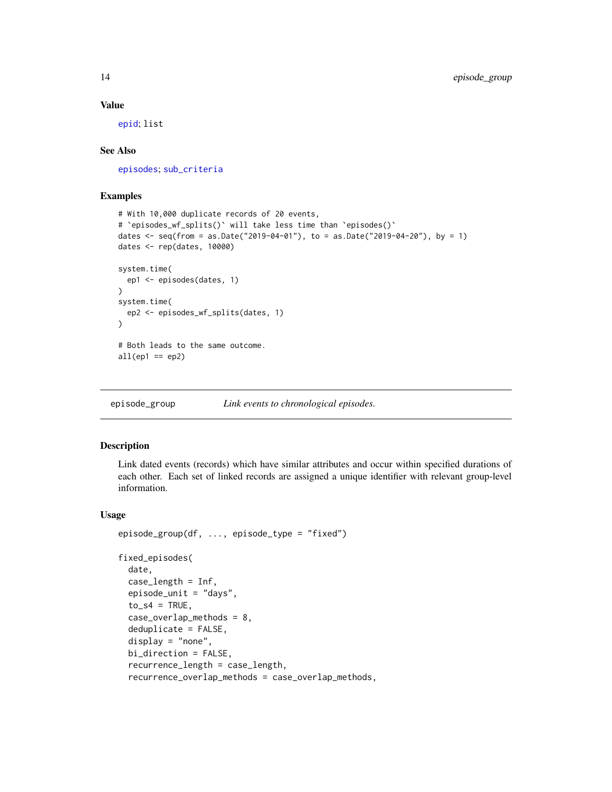#### Value

[epid](#page-6-1); list

#### See Also

[episodes](#page-8-1); [sub\\_criteria](#page-48-1)

## Examples

```
# With 10,000 duplicate records of 20 events,
# `episodes_wf_splits()` will take less time than `episodes()`
dates <- seq(from = as.Date("2019-04-01"), to = as.Date("2019-04-20"), by = 1)
dates <- rep(dates, 10000)
system.time(
 ep1 <- episodes(dates, 1)
\lambdasystem.time(
 ep2 <- episodes_wf_splits(dates, 1)
\lambda# Both leads to the same outcome.
all(ep1 == ep2)
```
episode\_group *Link events to chronological episodes.*

#### Description

Link dated events (records) which have similar attributes and occur within specified durations of each other. Each set of linked records are assigned a unique identifier with relevant group-level information.

#### Usage

```
episode_group(df, ..., episode_type = "fixed")
```

```
fixed_episodes(
  date,
  case_length = Inf,
  episode_unit = "days",
  to_s4 = TRUE,case_overlap_methods = 8,
  deduplicate = FALSE,
  display = "none",
  bi_direction = FALSE,
  recurrence_length = case_length,
  recurrence_overlap_methods = case_overlap_methods,
```
<span id="page-13-0"></span>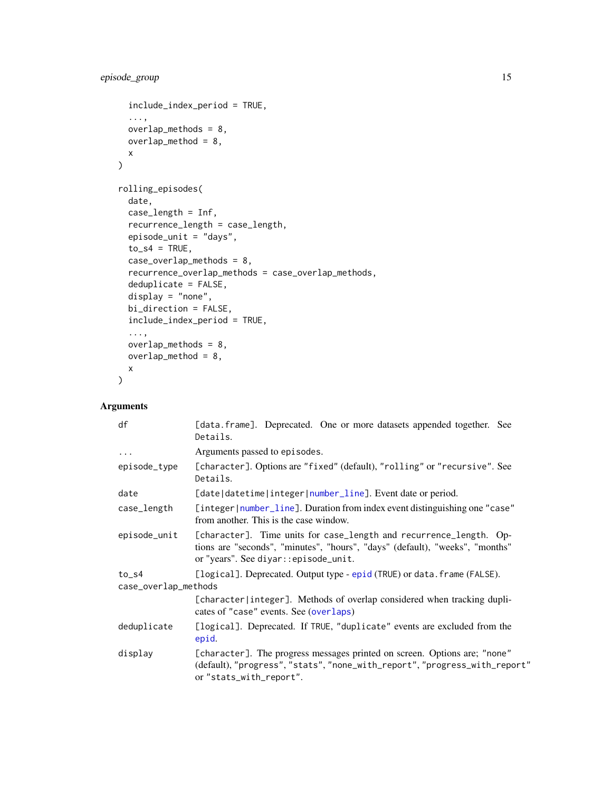```
include_index_period = TRUE,
  ...,
 overlap_methods = 8,
 overlap_method = 8,
 x
)
rolling_episodes(
  date,
  case_length = Inf,
  recurrence_length = case_length,
  episode_unit = "days",
  to_s4 = TRUE,case_overlap_methods = 8,
  recurrence_overlap_methods = case_overlap_methods,
  deduplicate = FALSE,
  display = "none",
 bi_direction = FALSE,
  include_index_period = TRUE,
  ...,
 overlap_methods = 8,
 overlap_method = 8,
 x
\mathcal{L}
```
## Arguments

| df                   | [data.frame]. Deprecated. One or more datasets appended together. See<br>Details.                                                                                                          |
|----------------------|--------------------------------------------------------------------------------------------------------------------------------------------------------------------------------------------|
| $\cdots$             | Arguments passed to episodes.                                                                                                                                                              |
| episode_type         | [character]. Options are "fixed" (default), "rolling" or "recursive". See<br>Details.                                                                                                      |
| date                 | [date datetime integer number_line]. Event date or period.                                                                                                                                 |
| case_length          | [integer   number_line]. Duration from index event distinguishing one "case"<br>from another. This is the case window.                                                                     |
| episode_unit         | [character]. Time units for case_length and recurrence_length. Op-<br>tions are "seconds", "minutes", "hours", "days" (default), "weeks", "months"<br>or "years". See diyar::episode_unit. |
| to_s $4$             | [logical]. Deprecated. Output type - epid (TRUE) or data. frame (FALSE).                                                                                                                   |
| case_overlap_methods |                                                                                                                                                                                            |
|                      | [character integer]. Methods of overlap considered when tracking dupli-<br>cates of "case" events. See (overlaps)                                                                          |
| deduplicate          | [logical]. Deprecated. If TRUE, "duplicate" events are excluded from the<br>epid.                                                                                                          |
| display              | [character]. The progress messages printed on screen. Options are; "none"<br>(default), "progress", "stats", "none_with_report", "progress_with_report"<br>or "stats_with_report".         |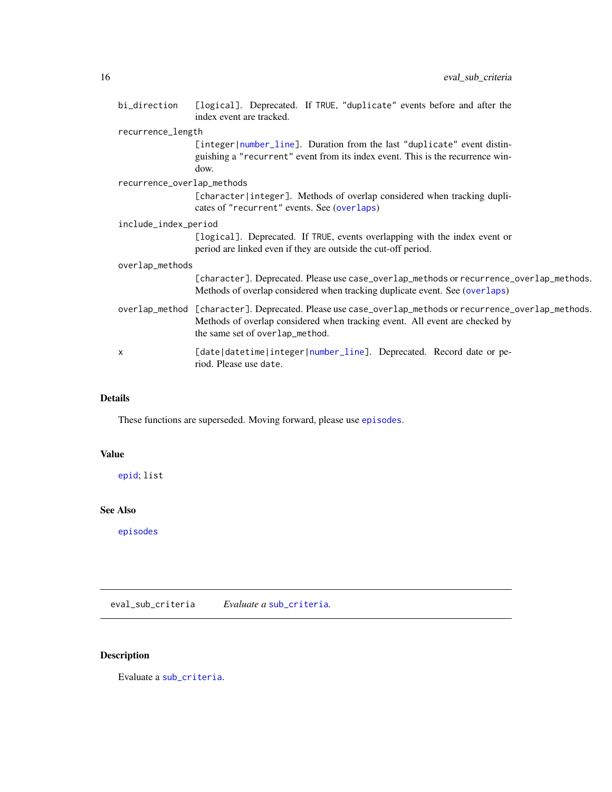<span id="page-15-0"></span>

|                            | bi_direction      | [logical]. Deprecated. If TRUE, "duplicate" events before and after the<br>index event are tracked.                                                                                                                      |
|----------------------------|-------------------|--------------------------------------------------------------------------------------------------------------------------------------------------------------------------------------------------------------------------|
|                            | recurrence_length |                                                                                                                                                                                                                          |
|                            |                   | [integer number_line]. Duration from the last "duplicate" event distin-<br>guishing a "recurrent" event from its index event. This is the recurrence win-<br>dow.                                                        |
| recurrence_overlap_methods |                   |                                                                                                                                                                                                                          |
|                            |                   | [character integer]. Methods of overlap considered when tracking dupli-<br>cates of "recurrent" events. See (overlaps)                                                                                                   |
| include_index_period       |                   |                                                                                                                                                                                                                          |
|                            |                   | [logical]. Deprecated. If TRUE, events overlapping with the index event or<br>period are linked even if they are outside the cut-off period.                                                                             |
| overlap_methods            |                   |                                                                                                                                                                                                                          |
|                            |                   | [character]. Deprecated. Please use case_overlap_methods or recurrence_overlap_methods.<br>Methods of overlap considered when tracking duplicate event. See (overlaps)                                                   |
|                            |                   | overlap_method [character]. Deprecated. Please use case_overlap_methods or recurrence_overlap_methods.<br>Methods of overlap considered when tracking event. All event are checked by<br>the same set of overlap_method. |
|                            | X                 | [date datetime integer number_line]. Deprecated. Record date or pe-<br>riod. Please use date.                                                                                                                            |

## Details

These functions are superseded. Moving forward, please use [episodes](#page-8-1).

## Value

[epid](#page-6-1); list

## See Also

[episodes](#page-8-1)

<span id="page-15-1"></span>eval\_sub\_criteria *Evaluate a* [sub\\_criteria](#page-48-1)*.*

## Description

Evaluate a [sub\\_criteria](#page-48-1).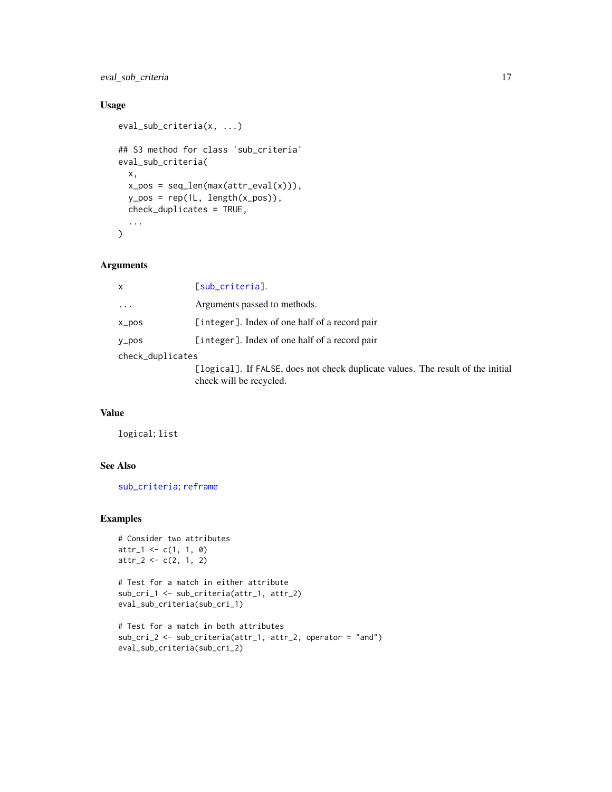## <span id="page-16-0"></span>eval\_sub\_criteria 17

## Usage

```
eval_sub_criteria(x, ...)
## S3 method for class 'sub_criteria'
eval_sub_criteria(
  x,
 x_pos = seq_len(max(attr_eval(x))),
 y_pos = rep(1L, length(x_pos)),
 check_duplicates = TRUE,
  ...
\mathcal{L}
```
## Arguments

| x                | [sub_criteria].                                                                                            |  |
|------------------|------------------------------------------------------------------------------------------------------------|--|
| $\cdots$         | Arguments passed to methods.                                                                               |  |
| x_pos            | [integer]. Index of one half of a record pair                                                              |  |
| y_pos            | [integer]. Index of one half of a record pair                                                              |  |
| check_duplicates |                                                                                                            |  |
|                  | [logical]. If FALSE, does not check duplicate values. The result of the initial<br>check will be recycled. |  |

## Value

logical; list

## See Also

[sub\\_criteria](#page-48-1); [reframe](#page-42-1)

```
# Consider two attributes
attr_1 <- c(1, 1, 0)
attr_2 < -c(2, 1, 2)
```

```
# Test for a match in either attribute
sub_cri_1 <- sub_criteria(attr_1, attr_2)
eval_sub_criteria(sub_cri_1)
```

```
# Test for a match in both attributes
sub_cri_2 <- sub_criteria(attr_1, attr_2, operator = "and")
eval_sub_criteria(sub_cri_2)
```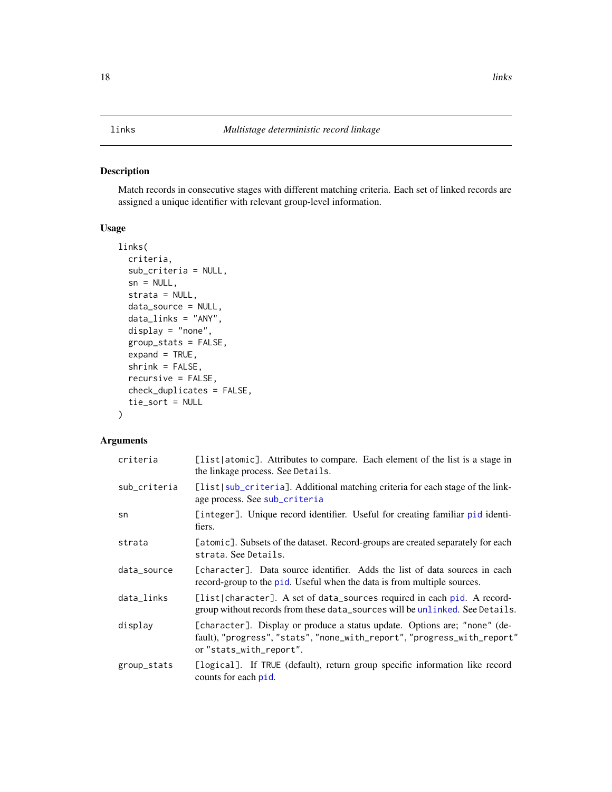#### <span id="page-17-1"></span><span id="page-17-0"></span>Description

Match records in consecutive stages with different matching criteria. Each set of linked records are assigned a unique identifier with relevant group-level information.

## Usage

```
links(
  criteria,
  sub_criteria = NULL,
  sn = NULL,strata = NULL,
  data_source = NULL,
  data_links = "ANY",
  display = "none",
  group_stats = FALSE,
  expand = TRUE,shrink = FALSE,recursive = FALSE,
  check_duplicates = FALSE,
  tie_sort = NULL
\mathcal{L}
```
## Arguments

| criteria     | [list   atomic]. Attributes to compare. Each element of the list is a stage in<br>the linkage process. See Details.                                                             |
|--------------|---------------------------------------------------------------------------------------------------------------------------------------------------------------------------------|
| sub_criteria | [list sub_criteria]. Additional matching criteria for each stage of the link-<br>age process. See sub_criteria                                                                  |
| sn           | [integer]. Unique record identifier. Useful for creating familiar pid identi-<br>fiers.                                                                                         |
| strata       | [atomic]. Subsets of the dataset. Record-groups are created separately for each<br>strata. See Details.                                                                         |
| data_source  | [character]. Data source identifier. Adds the list of data sources in each<br>record-group to the pid. Useful when the data is from multiple sources.                           |
| data_links   | [list character]. A set of data_sources required in each pid. A record-<br>group without records from these data_sources will be unlinked. See Details.                         |
| display      | [character]. Display or produce a status update. Options are; "none" (de-<br>fault), "progress", "stats", "none_with_report", "progress_with_report"<br>or "stats_with_report". |
| group_stats  | [logical]. If TRUE (default), return group specific information like record<br>counts for each pid.                                                                             |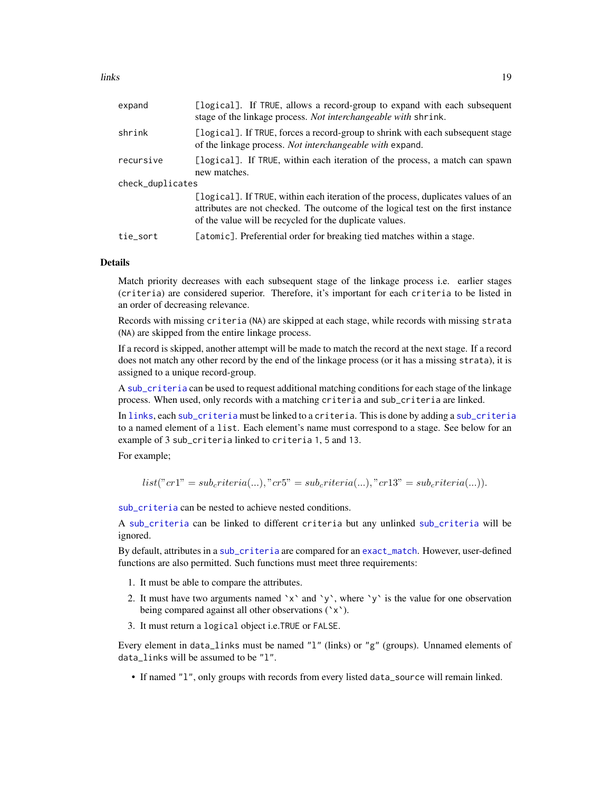<span id="page-18-0"></span>

| expand           | [logical]. If TRUE, allows a record-group to expand with each subsequent<br>stage of the linkage process. Not interchangeable with shrink.                                                                                        |  |
|------------------|-----------------------------------------------------------------------------------------------------------------------------------------------------------------------------------------------------------------------------------|--|
| shrink           | [logical]. If TRUE, forces a record-group to shrink with each subsequent stage<br>of the linkage process. Not interchangeable with expand.                                                                                        |  |
| recursive        | [logical]. If TRUE, within each iteration of the process, a match can spawn<br>new matches.                                                                                                                                       |  |
| check_duplicates |                                                                                                                                                                                                                                   |  |
|                  | [logical]. If TRUE, within each iteration of the process, duplicates values of an<br>attributes are not checked. The outcome of the logical test on the first instance<br>of the value will be recycled for the duplicate values. |  |
| tie_sort         | [atomic]. Preferential order for breaking tied matches within a stage.                                                                                                                                                            |  |

#### **Details**

Match priority decreases with each subsequent stage of the linkage process i.e. earlier stages (criteria) are considered superior. Therefore, it's important for each criteria to be listed in an order of decreasing relevance.

Records with missing criteria (NA) are skipped at each stage, while records with missing strata (NA) are skipped from the entire linkage process.

If a record is skipped, another attempt will be made to match the record at the next stage. If a record does not match any other record by the end of the linkage process (or it has a missing strata), it is assigned to a unique record-group.

A [sub\\_criteria](#page-48-1) can be used to request additional matching conditions for each stage of the linkage process. When used, only records with a matching criteria and sub\_criteria are linked.

In [links](#page-17-1), each [sub\\_criteria](#page-48-1) must be linked to a criteria. This is done by adding a [sub\\_criteria](#page-48-1) to a named element of a list. Each element's name must correspond to a stage. See below for an example of 3 sub\_criteria linked to criteria 1, 5 and 13.

For example;

```
list("cr1" = sub_criteria(...), "cr5" = sub_criteria(...), "cr13" = sub_criteria(...)).
```
[sub\\_criteria](#page-48-1) can be nested to achieve nested conditions.

A [sub\\_criteria](#page-48-1) can be linked to different criteria but any unlinked [sub\\_criteria](#page-48-1) will be ignored.

By default, attributes in a [sub\\_criteria](#page-48-1) are compared for an [exact\\_match](#page-40-1). However, user-defined functions are also permitted. Such functions must meet three requirements:

- 1. It must be able to compare the attributes.
- 2. It must have two arguments named  $x'$  and  $y'$ , where  $y'$  is the value for one observation being compared against all other observations (`x`).
- 3. It must return a logical object i.e.TRUE or FALSE.

Every element in data\_links must be named "l" (links) or "g" (groups). Unnamed elements of data\_links will be assumed to be "l".

• If named "l", only groups with records from every listed data\_source will remain linked.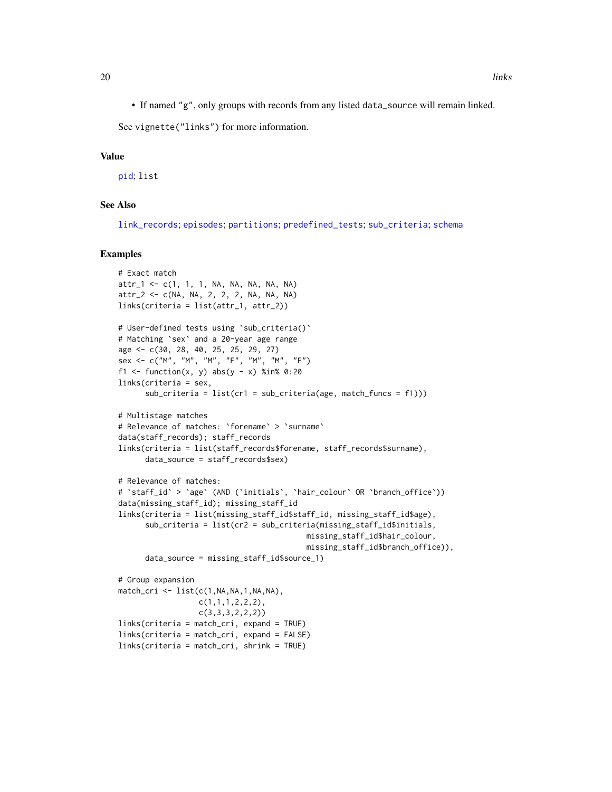<span id="page-19-0"></span>• If named "g", only groups with records from any listed data\_source will remain linked.

See vignette("links") for more information.

### Value

[pid](#page-39-1); list

#### See Also

[link\\_records](#page-20-1); [episodes](#page-8-1); [partitions](#page-36-1); [predefined\\_tests](#page-40-2); [sub\\_criteria](#page-48-1); [schema](#page-43-1)

```
# Exact match
attr_1 <- c(1, 1, 1, NA, NA, NA, NA, NA)
attr_2 <- c(NA, NA, 2, 2, 2, NA, NA, NA)
links(criteria = list(attr_1, attr_2))
# User-defined tests using `sub_criteria()`
# Matching `sex` and a 20-year age range
age <- c(30, 28, 40, 25, 25, 29, 27)
sex <- c("M", "M", "M", "F", "M", "M", "F")
f1 <- function(x, y) abs(y - x) %in% 0:20
links(criteria = sex,
      sub_criteria = list(cr1 = sub_criteria(age, match_funcs = f1)))
# Multistage matches
# Relevance of matches: `forename` > `surname`
data(staff_records); staff_records
links(criteria = list(staff_records$forename, staff_records$surname),
      data_source = staff_records$sex)
# Relevance of matches:
# `staff_id` > `age` (AND (`initials`, `hair_colour` OR `branch_office`))
data(missing_staff_id); missing_staff_id
links(criteria = list(missing_staff_id$staff_id, missing_staff_id$age),
      sub_criteria = list(cr2 = sub_criteria(missing_staff_id$initials,
                                          missing_staff_id$hair_colour,
                                          missing_staff_id$branch_office)),
      data_source = missing_staff_id$source_1)
# Group expansion
match_cri \leq list(c(1,NA,NA,1,NA,NA),c(1,1,1,2,2,2),
                  c(3,3,3,2,2,2))
links(criteria = match_cri, expand = TRUE)
links(criteria = match_cri, expand = FALSE)
links(criteria = match_cri, shrink = TRUE)
```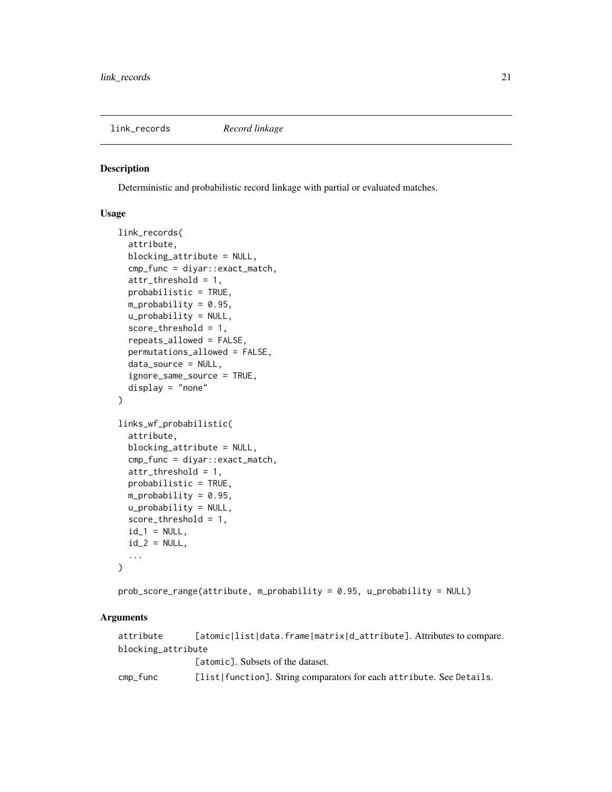<span id="page-20-1"></span><span id="page-20-0"></span>

## <span id="page-20-2"></span>Description

Deterministic and probabilistic record linkage with partial or evaluated matches.

#### Usage

```
link_records(
  attribute,
  blocking_attribute = NULL,
  cmp_func = diyar::exact_match,
  attr_threshold = 1,
  probabilistic = TRUE,
  m_probability = 0.95,
  u_probability = NULL,
  score_threshold = 1,
  repeats_allowed = FALSE,
  permutations_allowed = FALSE,
  data_source = NULL,
  ignore_same_source = TRUE,
  display = "none"
\lambdalinks_wf_probabilistic(
  attribute,
  blocking_attribute = NULL,
  cmp_func = diyar::exact_match,
  attr_threshold = 1,
  probabilistic = TRUE,
  m_probability = 0.95,
  u_probability = NULL,
  score_threshold = 1,
  id_1 = NULL,id_2 = NULL,...
\mathcal{L}
```
prob\_score\_range(attribute, m\_probability = 0.95, u\_probability = NULL)

## **Arguments**

attribute [atomic|list|data.frame|matrix|d\_attribute]. Attributes to compare. blocking\_attribute [atomic]. Subsets of the dataset. cmp\_func [list|function]. String comparators for each attribute. See Details.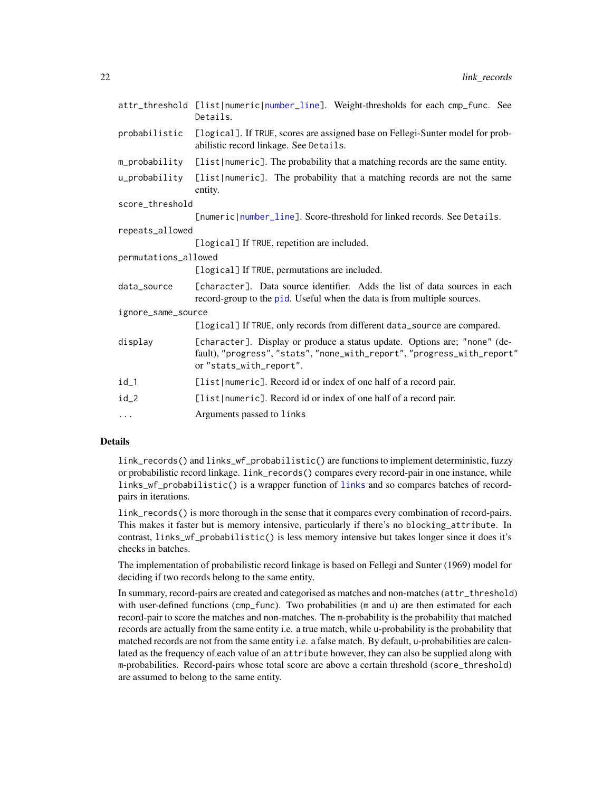<span id="page-21-0"></span>

|                      | attr_threshold [list numeric number_line]. Weight-thresholds for each cmp_func. See<br>Details.                                                                                 |  |
|----------------------|---------------------------------------------------------------------------------------------------------------------------------------------------------------------------------|--|
| probabilistic        | [logical]. If TRUE, scores are assigned base on Fellegi-Sunter model for prob-<br>abilistic record linkage. See Details.                                                        |  |
| m_probability        | [list   numeric]. The probability that a matching records are the same entity.                                                                                                  |  |
| u_probability        | [list numeric]. The probability that a matching records are not the same<br>entity.                                                                                             |  |
| score_threshold      |                                                                                                                                                                                 |  |
|                      | [numeric number_line]. Score-threshold for linked records. See Details.                                                                                                         |  |
| repeats_allowed      |                                                                                                                                                                                 |  |
|                      | [logical] If TRUE, repetition are included.                                                                                                                                     |  |
| permutations_allowed |                                                                                                                                                                                 |  |
|                      | [logical] If TRUE, permutations are included.                                                                                                                                   |  |
| data_source          | [character]. Data source identifier. Adds the list of data sources in each<br>record-group to the pid. Useful when the data is from multiple sources.                           |  |
| ignore_same_source   |                                                                                                                                                                                 |  |
|                      | [logical] If TRUE, only records from different data_source are compared.                                                                                                        |  |
| display              | [character]. Display or produce a status update. Options are; "none" (de-<br>fault), "progress", "stats", "none_with_report", "progress_with_report"<br>or "stats_with_report". |  |
| $id_1$               | [list numeric]. Record id or index of one half of a record pair.                                                                                                                |  |
| $id_2$               | [list numeric]. Record id or index of one half of a record pair.                                                                                                                |  |
| $\cdots$             | Arguments passed to links                                                                                                                                                       |  |

## Details

link\_records() and links\_wf\_probabilistic() are functions to implement deterministic, fuzzy or probabilistic record linkage. link\_records() compares every record-pair in one instance, while links\_wf\_probabilistic() is a wrapper function of [links](#page-17-1) and so compares batches of recordpairs in iterations.

link\_records() is more thorough in the sense that it compares every combination of record-pairs. This makes it faster but is memory intensive, particularly if there's no blocking\_attribute. In contrast, links\_wf\_probabilistic() is less memory intensive but takes longer since it does it's checks in batches.

The implementation of probabilistic record linkage is based on Fellegi and Sunter (1969) model for deciding if two records belong to the same entity.

In summary, record-pairs are created and categorised as matches and non-matches (attr\_threshold) with user-defined functions (cmp\_func). Two probabilities (m and u) are then estimated for each record-pair to score the matches and non-matches. The m-probability is the probability that matched records are actually from the same entity i.e. a true match, while u-probability is the probability that matched records are not from the same entity i.e. a false match. By default, u-probabilities are calculated as the frequency of each value of an attribute however, they can also be supplied along with m-probabilities. Record-pairs whose total score are above a certain threshold (score\_threshold) are assumed to belong to the same entity.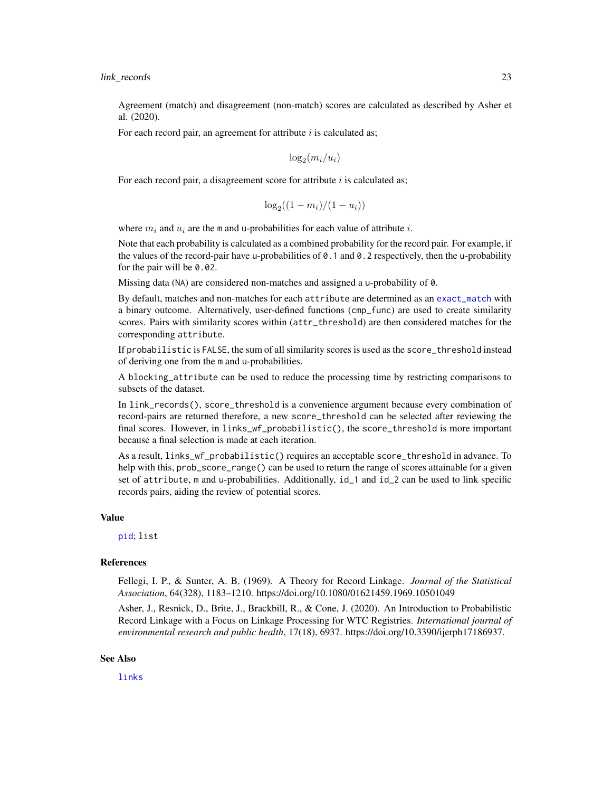<span id="page-22-0"></span>Agreement (match) and disagreement (non-match) scores are calculated as described by Asher et al. (2020).

For each record pair, an agreement for attribute  $i$  is calculated as;

 $\log_2(m_i/u_i)$ 

For each record pair, a disagreement score for attribute  $i$  is calculated as;

$$
\log_2((1-m_i)/(1-u_i))
$$

where  $m_i$  and  $u_i$  are the m and u-probabilities for each value of attribute i.

Note that each probability is calculated as a combined probability for the record pair. For example, if the values of the record-pair have u-probabilities of  $\theta$ . 1 and  $\theta$ . 2 respectively, then the u-probability for the pair will be 0.02.

Missing data (NA) are considered non-matches and assigned a u-probability of 0.

By default, matches and non-matches for each attribute are determined as an [exact\\_match](#page-40-1) with a binary outcome. Alternatively, user-defined functions (cmp\_func) are used to create similarity scores. Pairs with similarity scores within (attr\_threshold) are then considered matches for the corresponding attribute.

If probabilistic is FALSE, the sum of all similarity scores is used as the score\_threshold instead of deriving one from the m and u-probabilities.

A blocking\_attribute can be used to reduce the processing time by restricting comparisons to subsets of the dataset.

In link\_records(), score\_threshold is a convenience argument because every combination of record-pairs are returned therefore, a new score\_threshold can be selected after reviewing the final scores. However, in links\_wf\_probabilistic(), the score\_threshold is more important because a final selection is made at each iteration.

As a result, links\_wf\_probabilistic() requires an acceptable score\_threshold in advance. To help with this,  $prob\_score\_range()$  can be used to return the range of scores attainable for a given set of attribute, m and u-probabilities. Additionally, id\_1 and id\_2 can be used to link specific records pairs, aiding the review of potential scores.

#### Value

[pid](#page-39-1); list

#### References

Fellegi, I. P., & Sunter, A. B. (1969). A Theory for Record Linkage. *Journal of the Statistical Association*, 64(328), 1183–1210. https://doi.org/10.1080/01621459.1969.10501049

Asher, J., Resnick, D., Brite, J., Brackbill, R., & Cone, J. (2020). An Introduction to Probabilistic Record Linkage with a Focus on Linkage Processing for WTC Registries. *International journal of environmental research and public health*, 17(18), 6937. https://doi.org/10.3390/ijerph17186937.

#### See Also

[links](#page-17-1)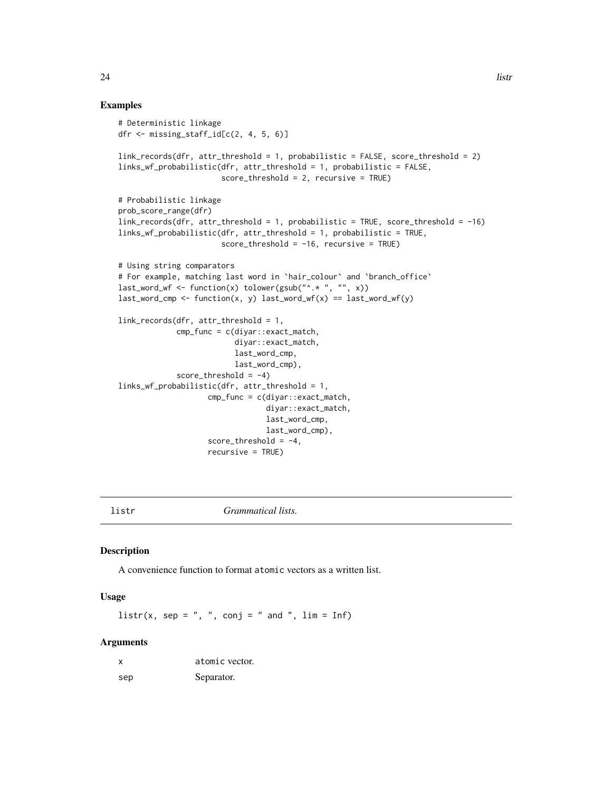#### Examples

```
# Deterministic linkage
dfr <- missing_staff_id[c(2, 4, 5, 6)]
link_records(dfr, attr_threshold = 1, probabilistic = FALSE, score_threshold = 2)
links_wf_probabilistic(dfr, attr_threshold = 1, probabilistic = FALSE,
                       score_threshold = 2, recursive = TRUE)
# Probabilistic linkage
prob_score_range(dfr)
link_records(dfr, attr_threshold = 1, probabilistic = TRUE, score_threshold = -16)
links_wf_probabilistic(dfr, attr_threshold = 1, probabilistic = TRUE,
                       score_threshold = -16, recursive = TRUE)
# Using string comparators
# For example, matching last word in `hair_colour` and `branch_office`
last_word_wf <- function(x) tolower(gsub("^.* ", "", x))
last\_word\_cmp \leftarrow function(x, y) last\_word\_wf(x) == last\_word\_wf(y)link_records(dfr, attr_threshold = 1,
             cmp_func = c(diyar::exact_match,
                          diyar::exact_match,
                          last_word_cmp,
                          last_word_cmp),
             score_threshold = -4)
links_wf_probabilistic(dfr, attr_threshold = 1,
                    cmp_func = c(diyar::exact_match,
                                 diyar::exact_match,
                                 last_word_cmp,
                                 last_word_cmp),
                    score_{threshold} = -4,
                    recursive = TRUE)
```
listr *Grammatical lists.*

#### Description

A convenience function to format atomic vectors as a written list.

#### Usage

 $listr(x, sep = ", ", count; conj = " and ", lim = Inf)$ 

#### Arguments

| x   | atomic vector. |
|-----|----------------|
| sep | Separator.     |

<span id="page-23-0"></span>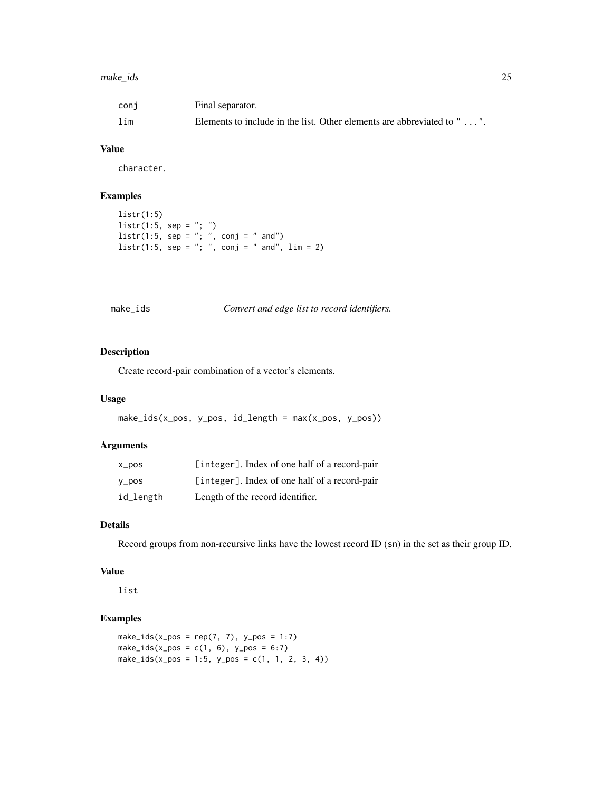#### <span id="page-24-0"></span>make\_ids 25

| coni | Final separator.                                                       |
|------|------------------------------------------------------------------------|
| lim  | Elements to include in the list. Other elements are abbreviated to "". |

## Value

character.

## Examples

```
listr(1:5)
listr(1:5, sep = ";")listr(1:5, sep = "; ", comb; conj = " and")listr(1:5, sep = "; ", comj = " and", lim = 2)
```
make\_ids *Convert and edge list to record identifiers.*

## Description

Create record-pair combination of a vector's elements.

#### Usage

make\_ids(x\_pos, y\_pos, id\_length = max(x\_pos, y\_pos))

## Arguments

| $X_{DOS}$ | [integer]. Index of one half of a record-pair |
|-----------|-----------------------------------------------|
| y_pos     | [integer]. Index of one half of a record-pair |
| id_length | Length of the record identifier.              |

## Details

Record groups from non-recursive links have the lowest record ID (sn) in the set as their group ID.

#### Value

list

```
make\_ids(x_pos = rep(7, 7), y_pos = 1:7)make\_ids(x_pos = c(1, 6), y_pos = 6:7)make\_ids(x_pos = 1:5, y_pos = c(1, 1, 2, 3, 4))
```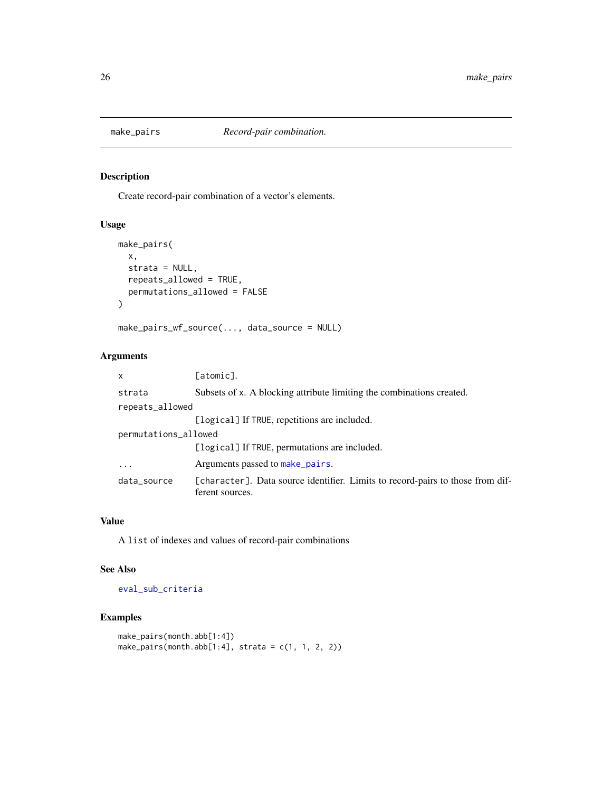<span id="page-25-1"></span><span id="page-25-0"></span>

## Description

Create record-pair combination of a vector's elements.

## Usage

```
make_pairs(
  x,
  strata = NULL,
  repeats_allowed = TRUE,
  permutations_allowed = FALSE
)
```
make\_pairs\_wf\_source(..., data\_source = NULL)

## Arguments

| x                    | [atomic].                                                                                         |  |
|----------------------|---------------------------------------------------------------------------------------------------|--|
| strata               | Subsets of x. A blocking attribute limiting the combinations created.                             |  |
| repeats_allowed      |                                                                                                   |  |
|                      | [logical] If TRUE, repetitions are included.                                                      |  |
| permutations_allowed |                                                                                                   |  |
|                      | [logical] If TRUE, permutations are included.                                                     |  |
| $\cdots$             | Arguments passed to make pairs.                                                                   |  |
| data_source          | [character]. Data source identifier. Limits to record-pairs to those from dif-<br>ferent sources. |  |

#### Value

A list of indexes and values of record-pair combinations

#### See Also

[eval\\_sub\\_criteria](#page-15-1)

```
make_pairs(month.abb[1:4])
make_pairs(month.abb[1:4], strata = c(1, 1, 2, 2))
```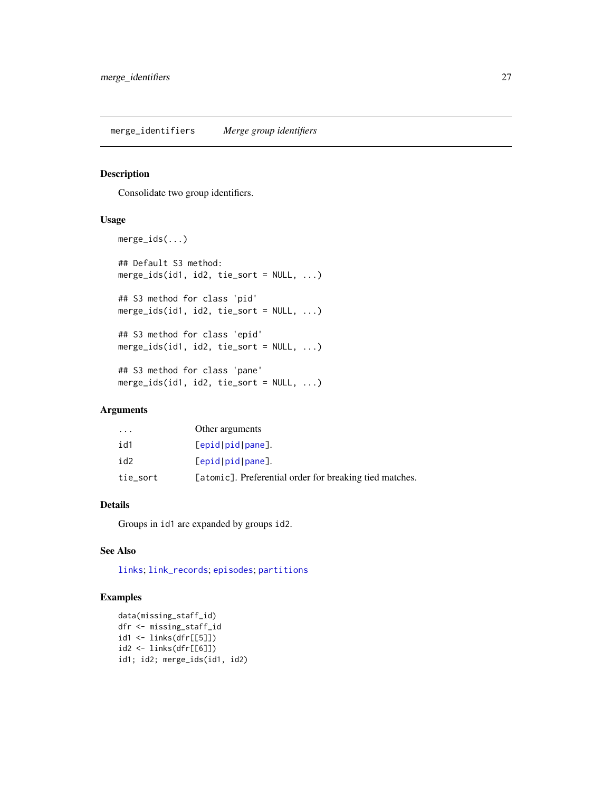#### <span id="page-26-0"></span>Description

Consolidate two group identifiers.

## Usage

```
merge_ids(...)
## Default S3 method:
merge_ids(id1, id2, tie_sort = NULL, ...)
## S3 method for class 'pid'
merge\_ids(id1, id2, tie\_sort = NULL, ...)## S3 method for class 'epid'
merge_ids(id1, id2, tie_sort = NULL, ...)
## S3 method for class 'pane'
merge_ids(id1, id2, tie_sort = NULL, ...)
```
## Arguments

| $\cdots$ | Other arguments                                         |
|----------|---------------------------------------------------------|
| id1      | [epid pid panel].                                       |
| id2      | [epid pid panel].                                       |
| tie_sort | [atomic]. Preferential order for breaking tied matches. |

#### Details

Groups in id1 are expanded by groups id2.

## See Also

[links](#page-17-1); [link\\_records](#page-20-1); [episodes](#page-8-1); [partitions](#page-36-1)

```
data(missing_staff_id)
dfr <- missing_staff_id
id1 <- links(dfr[[5]])
id2 <- links(dfr[[6]])
id1; id2; merge_ids(id1, id2)
```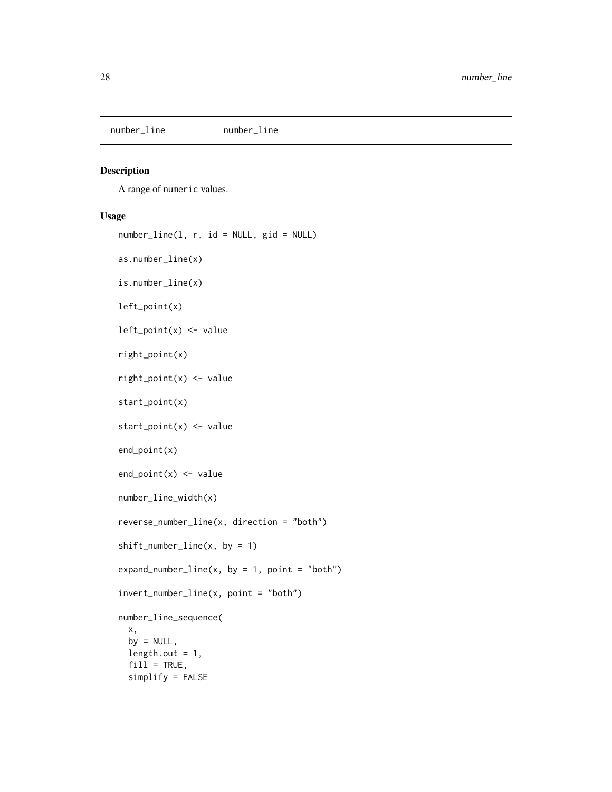<span id="page-27-1"></span><span id="page-27-0"></span>number\_line number\_line

## <span id="page-27-2"></span>Description

A range of numeric values.

#### Usage

```
number\_line(1, r, id = NULL, gid = NULL)as.number_line(x)
is.number_line(x)
left_point(x)
left_point(x) <- value
right_point(x)
right_point(x) <- value
start_point(x)
start_point(x) <- value
end_point(x)
end\_point(x) <- value
number_line_width(x)
reverse_number_line(x, direction = "both")
shift_number\_line(x, by = 1)expand_number\_line(x, by = 1, point = "both")invert_number_line(x, point = "both")
number_line_sequence(
 x,
 by = NULL,
 length.out = 1,
  fill = TRUE,simplify = FALSE
```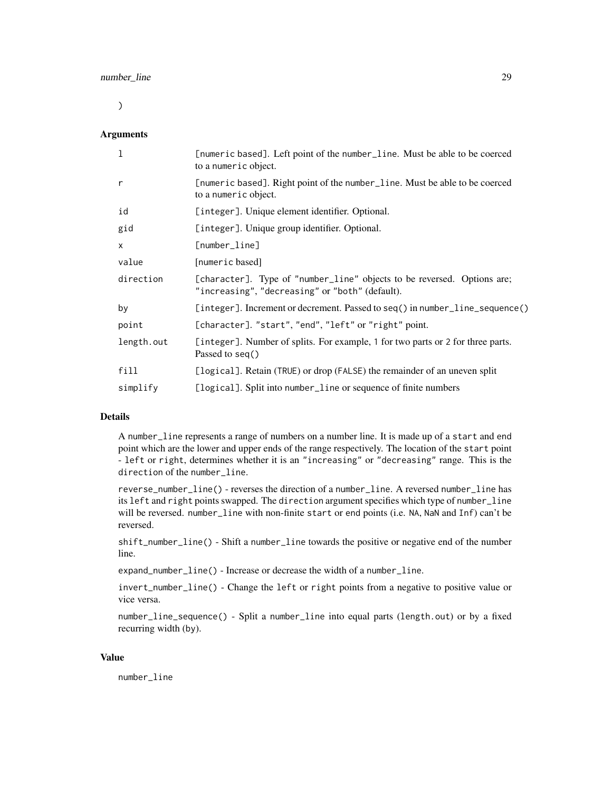$\mathcal{L}$ 

#### **Arguments**

| 1          | [numeric based]. Left point of the number_line. Must be able to be coerced<br>to a numeric object.                         |
|------------|----------------------------------------------------------------------------------------------------------------------------|
| r          | [numeric based]. Right point of the number_line. Must be able to be coerced<br>to a numeric object.                        |
| id         | [integer]. Unique element identifier. Optional.                                                                            |
| gid        | [integer]. Unique group identifier. Optional.                                                                              |
| X          | [number_line]                                                                                                              |
| value      | [numeric based]                                                                                                            |
| direction  | [character]. Type of "number_line" objects to be reversed. Options are;<br>"increasing", "decreasing" or "both" (default). |
| by         | [integer]. Increment or decrement. Passed to seq() in number_line_sequence()                                               |
| point      | [character]. "start", "end", "left" or "right" point.                                                                      |
| length.out | [integer]. Number of splits. For example, 1 for two parts or 2 for three parts.<br>Passed to seq()                         |
| fill       | [logical]. Retain (TRUE) or drop (FALSE) the remainder of an uneven split                                                  |
| simplify   | [logical]. Split into number_line or sequence of finite numbers                                                            |

#### Details

A number\_line represents a range of numbers on a number line. It is made up of a start and end point which are the lower and upper ends of the range respectively. The location of the start point - left or right, determines whether it is an "increasing" or "decreasing" range. This is the direction of the number\_line.

reverse\_number\_line() - reverses the direction of a number\_line. A reversed number\_line has its left and right points swapped. The direction argument specifies which type of number\_line will be reversed. number\_line with non-finite start or end points (i.e. NA, NaN and Inf) can't be reversed.

shift\_number\_line() - Shift a number\_line towards the positive or negative end of the number line.

expand\_number\_line() - Increase or decrease the width of a number\_line.

invert\_number\_line() - Change the left or right points from a negative to positive value or vice versa.

number\_line\_sequence() - Split a number\_line into equal parts (length.out) or by a fixed recurring width (by).

#### Value

number\_line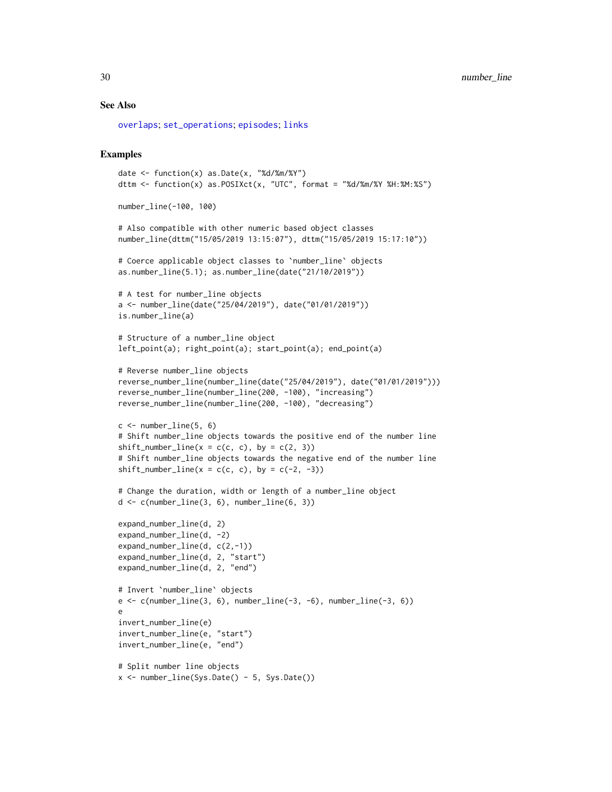#### See Also

[overlaps](#page-31-1); [set\\_operations](#page-45-1); [episodes](#page-8-1); [links](#page-17-1)

```
date <- function(x) as.Date(x, "%d/%m/%Y")
dttm <- function(x) as.POSIXct(x, "UTC", format = "%d/%m/%Y %H:%M:%S")
number_line(-100, 100)
# Also compatible with other numeric based object classes
number_line(dttm("15/05/2019 13:15:07"), dttm("15/05/2019 15:17:10"))
# Coerce applicable object classes to `number_line` objects
as.number_line(5.1); as.number_line(date("21/10/2019"))
# A test for number_line objects
a <- number_line(date("25/04/2019"), date("01/01/2019"))
is.number_line(a)
# Structure of a number_line object
left_point(a); right_point(a); start_point(a); end_point(a)
# Reverse number_line objects
reverse_number_line(number_line(date("25/04/2019"), date("01/01/2019")))
reverse_number_line(number_line(200, -100), "increasing")
reverse_number_line(number_line(200, -100), "decreasing")
c \le number_line(5, 6)
# Shift number_line objects towards the positive end of the number line
shift_number\_line(x = c(c, c), by = c(2, 3))# Shift number_line objects towards the negative end of the number line
shift_number_line(x = c(c, c), by = c(-2, -3))
# Change the duration, width or length of a number_line object
d \leq c(\text{number\_line}(3, 6), \text{number\_line}(6, 3))expand_number_line(d, 2)
expand_number_line(d, -2)
expand_number_line(d, c(2,-1))
expand_number_line(d, 2, "start")
expand_number_line(d, 2, "end")
# Invert `number_line` objects
e \leftarrow c(number\_line(3, 6), number\_line(-3, -6), number\_line(-3, 6))e
invert_number_line(e)
invert_number_line(e, "start")
invert_number_line(e, "end")
# Split number line objects
x \le number_line(Sys.Date() - 5, Sys.Date())
```
<span id="page-29-0"></span>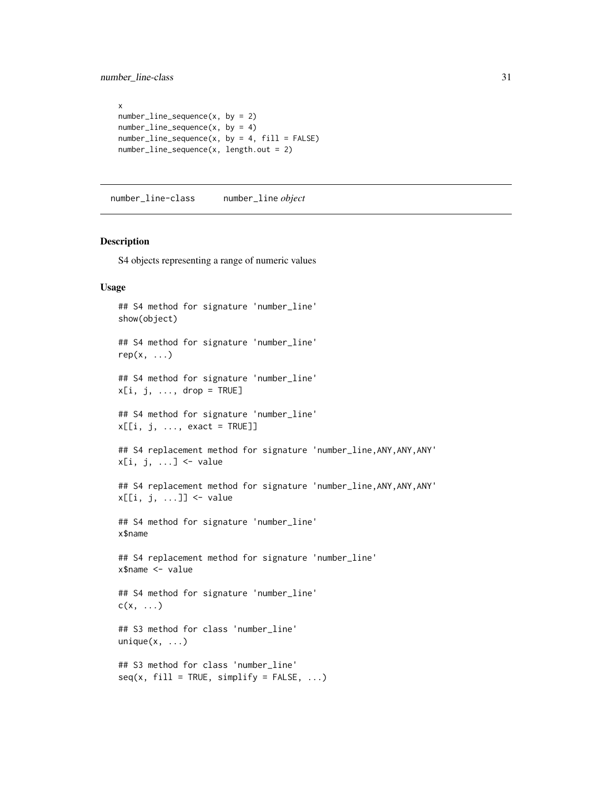<span id="page-30-0"></span>number\_line-class 31

```
x
number\_line\_sequence(x, by = 2)number\_line\_sequence(x, by = 4)number\_line\_sequence(x, by = 4, fill = FALSE)number_line_sequence(x, length.out = 2)
```
<span id="page-30-1"></span>number\_line-class number\_line *object*

#### Description

S4 objects representing a range of numeric values

#### Usage

```
## S4 method for signature 'number_line'
show(object)
## S4 method for signature 'number_line'
rep(x, \ldots)## S4 method for signature 'number_line'
x[i, j, ..., drop = TRUE]## S4 method for signature 'number_line'
x[[i, j, ..., exact = TRUE]]## S4 replacement method for signature 'number_line, ANY, ANY, ANY'
x[i, j, ...] <- value
## S4 replacement method for signature 'number_line, ANY, ANY, ANY'
x[[i, j, ...]] <- value
## S4 method for signature 'number_line'
x$name
## S4 replacement method for signature 'number_line'
x$name <- value
## S4 method for signature 'number_line'
c(x, \ldots)## S3 method for class 'number_line'
unique(x, \ldots)## S3 method for class 'number_line'
seq(x, fill = TRUE, simplify = FALSE, ...)
```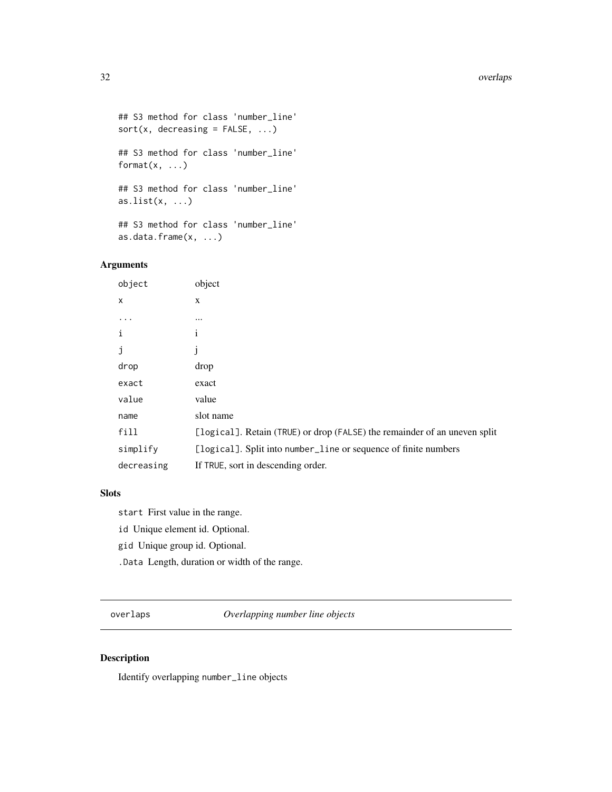```
## S3 method for class 'number_line'
sort(x, decreasing = FALSE, ...)## S3 method for class 'number_line'
format(x, \ldots)## S3 method for class 'number_line'
as.list(x, \ldots)## S3 method for class 'number_line'
as.data.frame(x, ...)
```
## Arguments

| object     | object                                                                    |
|------------|---------------------------------------------------------------------------|
| X          | X                                                                         |
|            | $\cdots$                                                                  |
| i          | $\mathbf{1}$                                                              |
| J          | $\mathbf{1}$                                                              |
| drop       | drop                                                                      |
| exact      | exact                                                                     |
| value      | value                                                                     |
| name       | slot name                                                                 |
| fill       | [logical]. Retain (TRUE) or drop (FALSE) the remainder of an uneven split |
| simplify   | [logical]. Split into number_line or sequence of finite numbers           |
| decreasing | If TRUE, sort in descending order.                                        |

## Slots

start First value in the range.

id Unique element id. Optional.

gid Unique group id. Optional.

.Data Length, duration or width of the range.

<span id="page-31-1"></span>overlaps *Overlapping number line objects*

## Description

Identify overlapping number\_line objects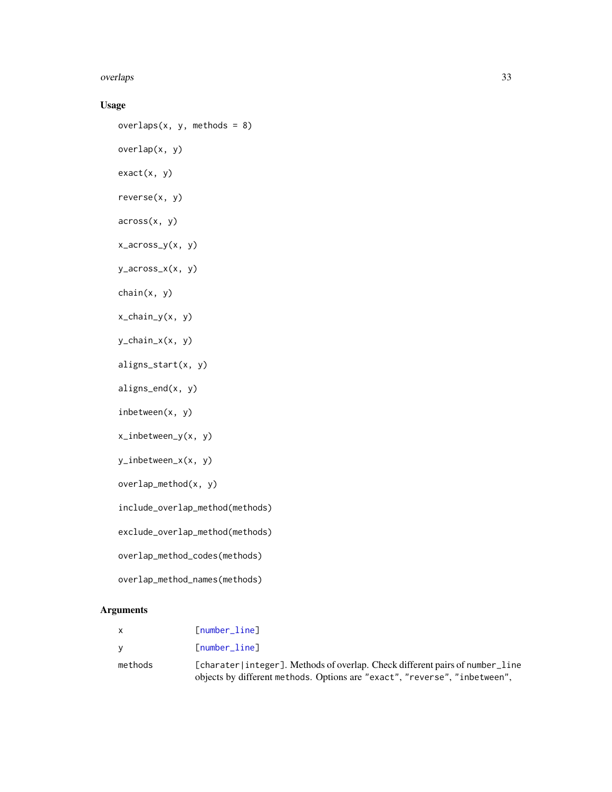<span id="page-32-0"></span>overlaps 33

## Usage

 $overlaps(x, y, methods = 8)$ 

overlap(x, y)

exact(x, y)

reverse(x, y)

across(x, y)

x\_across\_y(x, y)

y\_across\_x(x, y)

chain(x, y)

```
x_chain_y(x, y)
```

```
y_chain_x(x, y)
```

```
aligns_start(x, y)
```

```
aligns_end(x, y)
```
inbetween(x, y)

x\_inbetween\_y(x, y)

```
y_inbetween_x(x, y)
```

```
overlap_method(x, y)
```
include\_overlap\_method(methods)

exclude\_overlap\_method(methods)

overlap\_method\_codes(methods)

overlap\_method\_names(methods)

## Arguments

| $\mathsf{X}$ | $[number_1ine]$                                                                                                                                            |
|--------------|------------------------------------------------------------------------------------------------------------------------------------------------------------|
| V            | Tnumber linel                                                                                                                                              |
| methods      | [charater integer]. Methods of overlap. Check different pairs of number_line<br>objects by different methods. Options are "exact", "reverse", "inbetween", |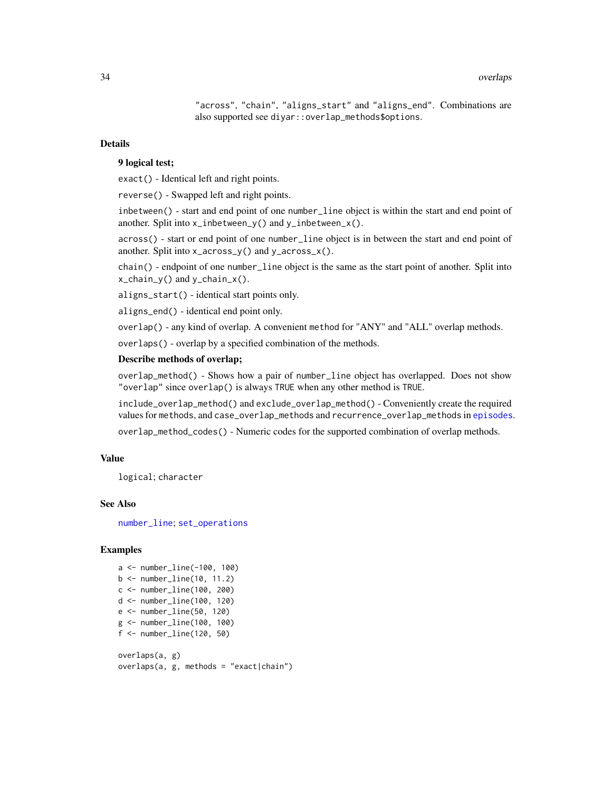"across", "chain", "aligns\_start" and "aligns\_end". Combinations are also supported see diyar::overlap\_methods\$options.

#### <span id="page-33-0"></span>Details

#### 9 logical test;

exact() - Identical left and right points.

reverse() - Swapped left and right points.

inbetween() - start and end point of one number\_line object is within the start and end point of another. Split into x\_inbetween\_y() and y\_inbetween\_x().

across() - start or end point of one number\_line object is in between the start and end point of another. Split into x\_across\_y() and y\_across\_x().

chain() - endpoint of one number\_line object is the same as the start point of another. Split into x\_chain\_y() and y\_chain\_x().

aligns\_start() - identical start points only.

aligns\_end() - identical end point only.

overlap() - any kind of overlap. A convenient method for "ANY" and "ALL" overlap methods.

overlaps() - overlap by a specified combination of the methods.

#### Describe methods of overlap;

overlap\_method() - Shows how a pair of number\_line object has overlapped. Does not show "overlap" since overlap() is always TRUE when any other method is TRUE.

include\_overlap\_method() and exclude\_overlap\_method() - Conveniently create the required values for methods, and case\_overlap\_methods and recurrence\_overlap\_methods in [episodes](#page-8-1).

overlap\_method\_codes() - Numeric codes for the supported combination of overlap methods.

#### Value

logical; character

#### See Also

[number\\_line](#page-27-1); [set\\_operations](#page-45-1)

```
a <- number_line(-100, 100)
b <- number_line(10, 11.2)
c <- number_line(100, 200)
d <- number_line(100, 120)
e <- number_line(50, 120)
g <- number_line(100, 100)
f <- number_line(120, 50)
```

```
overlaps(a, g)
overlaps(a, g, methods = "exact|chain")
```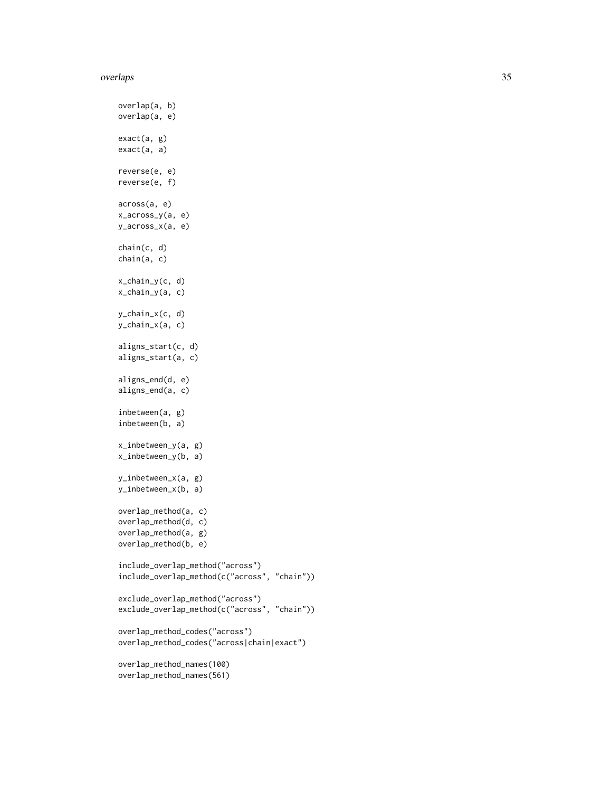#### overlaps 35

```
overlap(a, b)
overlap(a, e)
exact(a, g)
exact(a, a)
reverse(e, e)
reverse(e, f)
across(a, e)
x_across_y(a, e)
y_across_x(a, e)
chain(c, d)
chain(a, c)
x_chain_y(c, d)
x_chain_y(a, c)
y_chain_x(c, d)
y_chain_x(a, c)
aligns_start(c, d)
aligns_start(a, c)
aligns_end(d, e)
aligns_end(a, c)
inbetween(a, g)
inbetween(b, a)
x_inbetween_y(a, g)
x_inbetween_y(b, a)
y_inbetween_x(a, g)
y_inbetween_x(b, a)
overlap_method(a, c)
overlap_method(d, c)
overlap_method(a, g)
overlap_method(b, e)
include_overlap_method("across")
include_overlap_method(c("across", "chain"))
exclude_overlap_method("across")
exclude_overlap_method(c("across", "chain"))
overlap_method_codes("across")
overlap_method_codes("across|chain|exact")
overlap_method_names(100)
overlap_method_names(561)
```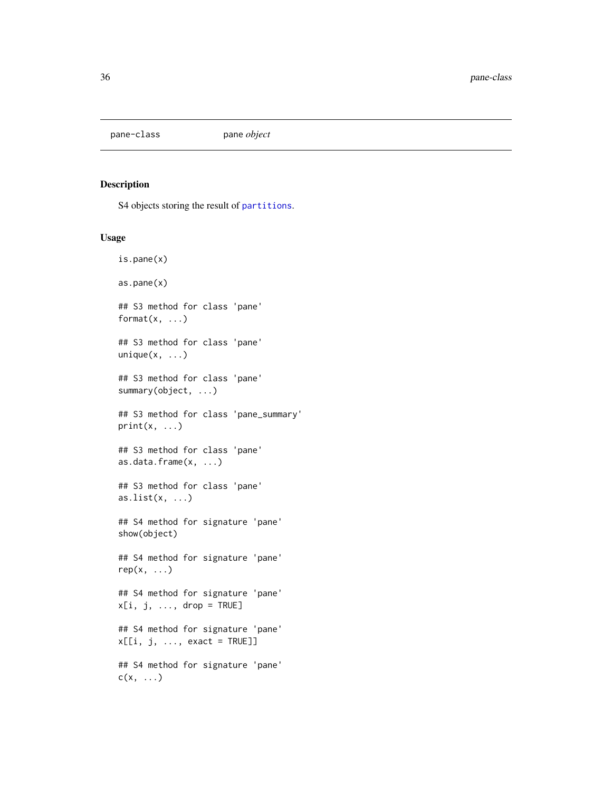<span id="page-35-1"></span><span id="page-35-0"></span>

#### Description

S4 objects storing the result of [partitions](#page-36-1).

#### Usage

is.pane(x) as.pane(x) ## S3 method for class 'pane' format $(x, \ldots)$ ## S3 method for class 'pane'  $unique(x, \ldots)$ ## S3 method for class 'pane' summary(object, ...) ## S3 method for class 'pane\_summary'  $print(x, \ldots)$ ## S3 method for class 'pane' as.data.frame(x, ...) ## S3 method for class 'pane' as.list $(x, \ldots)$ ## S4 method for signature 'pane' show(object) ## S4 method for signature 'pane'  $rep(x, \ldots)$ ## S4 method for signature 'pane'  $x[i, j, ..., drop = TRUE]$ ## S4 method for signature 'pane'  $x[[i, j, ..., exact = TRUE]]$ ## S4 method for signature 'pane'  $c(x, \ldots)$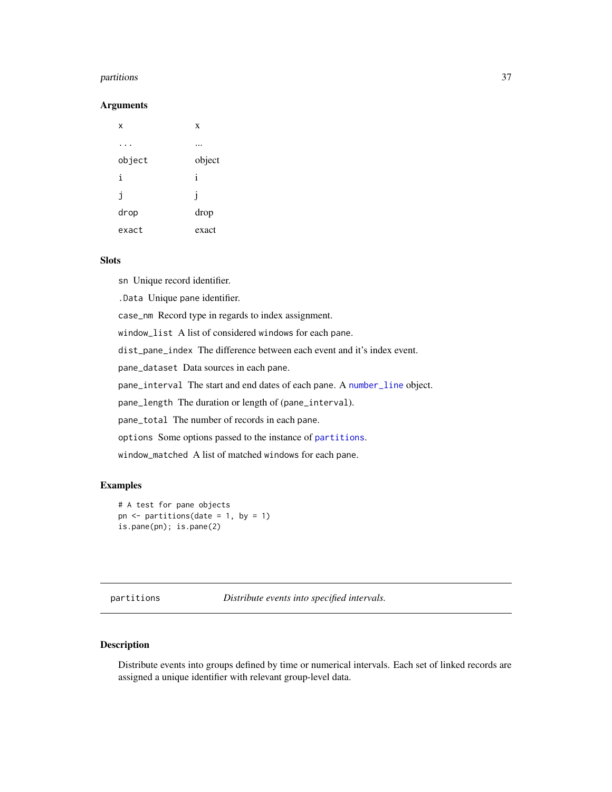#### <span id="page-36-0"></span>partitions 37

#### Arguments

| x      | X      |
|--------|--------|
|        |        |
| object | object |
| i      | i      |
| j      | İ      |
| drop   | drop   |
| exact  | exact  |

#### Slots

sn Unique record identifier.

.Data Unique pane identifier.

case\_nm Record type in regards to index assignment.

window\_list A list of considered windows for each pane.

dist\_pane\_index The difference between each event and it's index event.

pane\_dataset Data sources in each pane.

pane\_interval The start and end dates of each pane. A [number\\_line](#page-27-1) object.

pane\_length The duration or length of (pane\_interval).

pane\_total The number of records in each pane.

options Some options passed to the instance of [partitions](#page-36-1).

window\_matched A list of matched windows for each pane.

#### Examples

```
# A test for pane objects
pn \leq- partitions(date = 1, by = 1)
is.pane(pn); is.pane(2)
```
<span id="page-36-1"></span>partitions *Distribute events into specified intervals.*

## Description

Distribute events into groups defined by time or numerical intervals. Each set of linked records are assigned a unique identifier with relevant group-level data.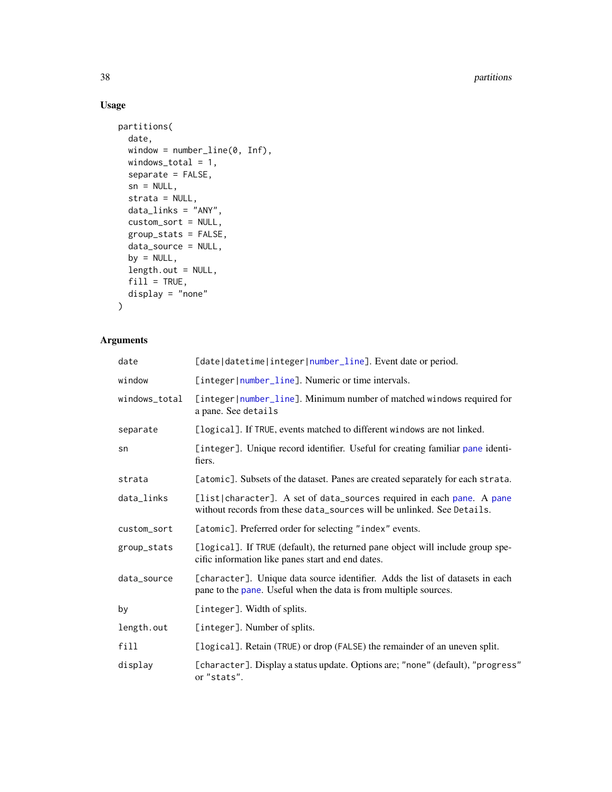#### 38 partitions and the contract of the contract of the contract of the contract of the contract of the contract of the contract of the contract of the contract of the contract of the contract of the contract of the contract

## Usage

```
partitions(
 date,
 window = number_line(0, Inf),
 windows_total = 1,
  separate = FALSE,
  sn = NULL,strata = NULL,
 data\_links = "ANY",custom_sort = NULL,
 group_stats = FALSE,
 data_source = NULL,
 by = NULL,
 length.out = NULL,
 fill = TRUE,display = "none"
)
```
## Arguments

| date          | [date datetime integer number_line]. Event date or period.                                                                                        |
|---------------|---------------------------------------------------------------------------------------------------------------------------------------------------|
| window        | [integer   number_line]. Numeric or time intervals.                                                                                               |
| windows_total | [integer   number_line]. Minimum number of matched windows required for<br>a pane. See details                                                    |
| separate      | [logical]. If TRUE, events matched to different windows are not linked.                                                                           |
| sn            | [integer]. Unique record identifier. Useful for creating familiar pane identi-<br>fiers.                                                          |
| strata        | [atomic]. Subsets of the dataset. Panes are created separately for each strata.                                                                   |
| data_links    | [list character]. A set of data_sources required in each pane. A pane<br>without records from these data_sources will be unlinked. See Details.   |
| custom_sort   | [atomic]. Preferred order for selecting "index" events.                                                                                           |
| group_stats   | [logical]. If TRUE (default), the returned pane object will include group spe-<br>cific information like panes start and end dates.               |
| data_source   | [character]. Unique data source identifier. Adds the list of datasets in each<br>pane to the pane. Useful when the data is from multiple sources. |
| by            | [integer]. Width of splits.                                                                                                                       |
| length.out    | [integer]. Number of splits.                                                                                                                      |
| fill          | [logical]. Retain (TRUE) or drop (FALSE) the remainder of an uneven split.                                                                        |
| display       | [character]. Display a status update. Options are; "none" (default), "progress"<br>or "stats".                                                    |

<span id="page-37-0"></span>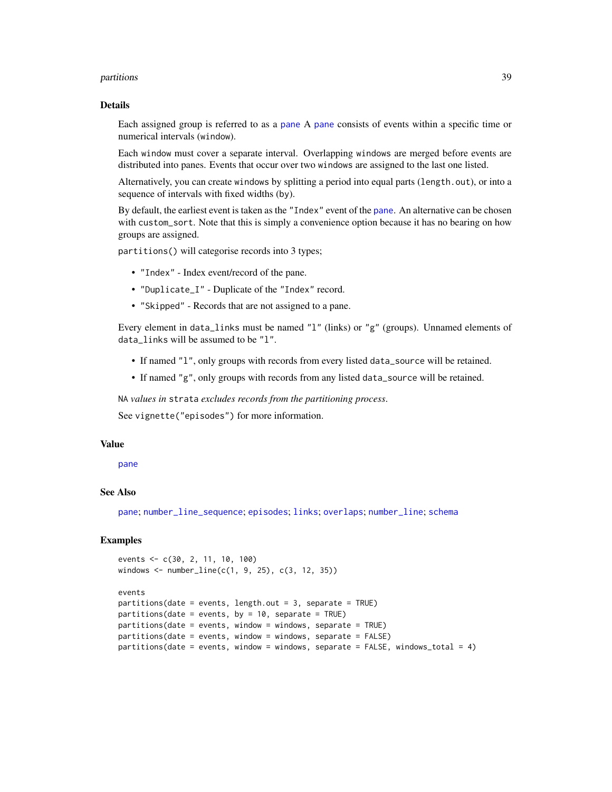#### <span id="page-38-0"></span>partitions 39

#### Details

Each assigned group is referred to as a [pane](#page-35-1) A [pane](#page-35-1) consists of events within a specific time or numerical intervals (window).

Each window must cover a separate interval. Overlapping windows are merged before events are distributed into panes. Events that occur over two windows are assigned to the last one listed.

Alternatively, you can create windows by splitting a period into equal parts (length.out), or into a sequence of intervals with fixed widths (by).

By default, the earliest event is taken as the "Index" event of the [pane](#page-35-1). An alternative can be chosen with custom\_sort. Note that this is simply a convenience option because it has no bearing on how groups are assigned.

partitions() will categorise records into 3 types;

- "Index" Index event/record of the pane.
- "Duplicate\_I" Duplicate of the "Index" record.
- "Skipped" Records that are not assigned to a pane.

Every element in data\_links must be named "l" (links) or "g" (groups). Unnamed elements of data\_links will be assumed to be "l".

- If named "l", only groups with records from every listed data\_source will be retained.
- If named "g", only groups with records from any listed data\_source will be retained.

NA *values in* strata *excludes records from the partitioning process*.

See vignette("episodes") for more information.

#### Value

#### [pane](#page-35-1)

## See Also

[pane](#page-35-1); [number\\_line\\_sequence](#page-27-2); [episodes](#page-8-1); [links](#page-17-1); [overlaps](#page-31-1); [number\\_line](#page-27-1); [schema](#page-43-1)

#### Examples

```
events <- c(30, 2, 11, 10, 100)
windows <- number_line(c(1, 9, 25), c(3, 12, 35))
events
partitions(date = events, length.out = 3, separate = TRUE)
partitions(data = events, by = 10, separate = TRUE)partitions(date = events, window = windows, separate = TRUE)
partitions(date = events, window = windows, separate = FALSE)
```
partitions(date = events, window = windows, separate = FALSE, windows\_total = 4)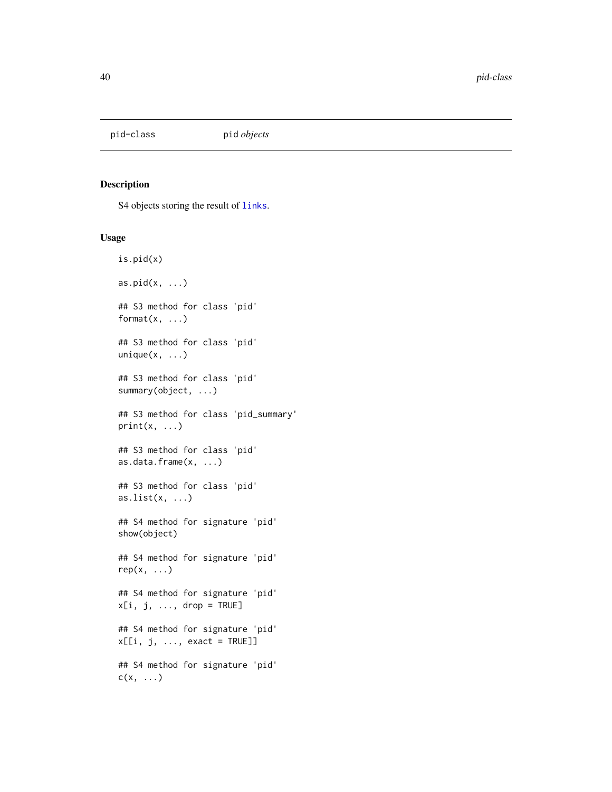<span id="page-39-1"></span><span id="page-39-0"></span>

#### Description

S4 objects storing the result of [links](#page-17-1).

#### Usage

is.pid(x) as.pid $(x, \ldots)$ ## S3 method for class 'pid' format $(x, \ldots)$ ## S3 method for class 'pid'  $unique(x, \ldots)$ ## S3 method for class 'pid' summary(object, ...) ## S3 method for class 'pid\_summary'  $print(x, \ldots)$ ## S3 method for class 'pid' as.data.frame(x, ...) ## S3 method for class 'pid' as.list $(x, \ldots)$ ## S4 method for signature 'pid' show(object) ## S4 method for signature 'pid'  $rep(x, \ldots)$ ## S4 method for signature 'pid'  $x[i, j, ..., drop = TRUE]$ ## S4 method for signature 'pid'  $x[[i, j, ..., exact = TRUE]]$ ## S4 method for signature 'pid'  $c(x, \ldots)$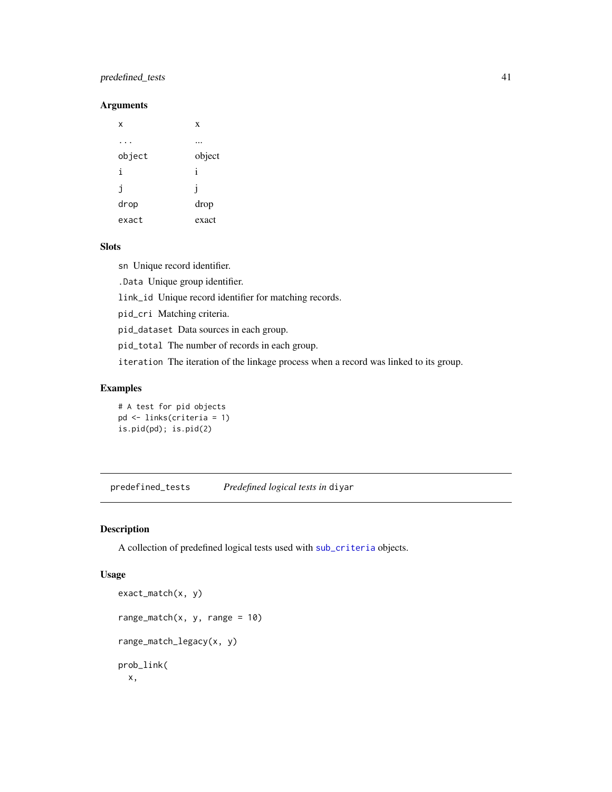## <span id="page-40-0"></span>predefined\_tests 41

## Arguments

| x      | X            |
|--------|--------------|
|        |              |
| object | object       |
| i      | i            |
| j      | $\mathbf{1}$ |
| drop   | drop         |
| exact  | exact        |

## Slots

sn Unique record identifier.

.Data Unique group identifier.

link\_id Unique record identifier for matching records.

pid\_cri Matching criteria.

pid\_dataset Data sources in each group.

pid\_total The number of records in each group.

iteration The iteration of the linkage process when a record was linked to its group.

### Examples

```
# A test for pid objects
pd <- links(criteria = 1)
is.pid(pd); is.pid(2)
```
<span id="page-40-2"></span>predefined\_tests *Predefined logical tests in* diyar

## <span id="page-40-1"></span>Description

A collection of predefined logical tests used with [sub\\_criteria](#page-48-1) objects.

## Usage

```
exact_match(x, y)
range_match(x, y, range = 10)
range_match_legacy(x, y)
prob_link(
  x,
```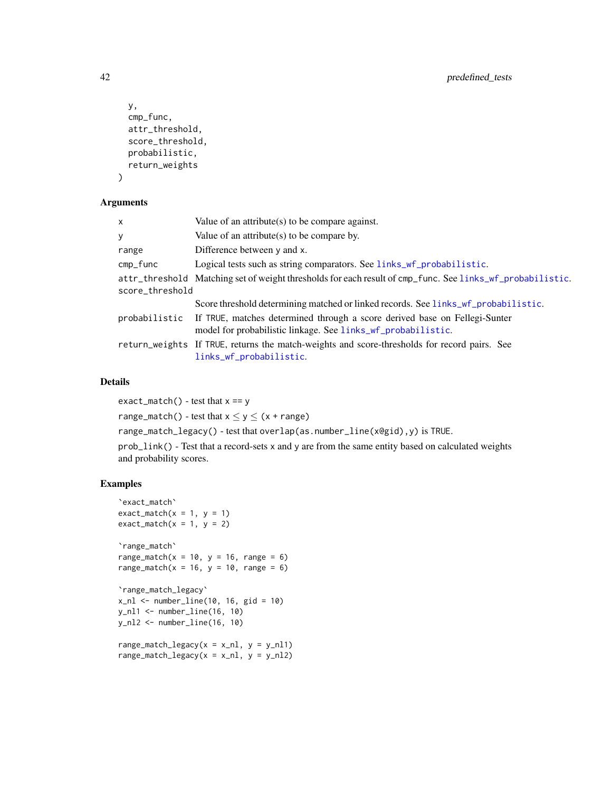```
y,
cmp_func,
attr_threshold,
score_threshold,
probabilistic,
return_weights
```
)

#### Arguments

| x               | Value of an attribute(s) to be compare against.                                                                                            |
|-----------------|--------------------------------------------------------------------------------------------------------------------------------------------|
| У               | Value of an attribute(s) to be compare by.                                                                                                 |
| range           | Difference between y and x.                                                                                                                |
| cmp_func        | Logical tests such as string comparators. See links_wf_probabilistic.                                                                      |
| score_threshold | attr_threshold Matching set of weight thresholds for each result of cmp_func. See links_wf_probabilistic.                                  |
|                 | Score threshold determining matched or linked records. See links_wf_probabilistic.                                                         |
| probabilistic   | If TRUE, matches determined through a score derived base on Fellegi-Sunter<br>model for probabilistic linkage. See links_wf_probabilistic. |
|                 | return_weights If TRUE, returns the match-weights and score-thresholds for record pairs. See<br>links_wf_probabilistic.                    |
|                 |                                                                                                                                            |

#### Details

```
exact_match() - test that x == yrange_match() - test that x \le y \le (x + range)range_match_legacy() - test that overlap(as.number_line(x@gid),y) is TRUE.
prob_link() - Test that a record-sets x and y are from the same entity based on calculated weights
and probability scores.
```

```
`exact_match`
exact_matrix = 1, y = 1)exact_match(x = 1, y = 2)
`range_match`
range_match(x = 10, y = 16, range = 6)
range_match(x = 16, y = 10, range = 6)
`range_match_legacy`
x_n1 <- number_line(10, 16, gid = 10)
y_nl1 <- number_line(16, 10)
y_nl2 <- number_line(16, 10)
range_match_legacy(x = x_nl, y = y_nl)
range_match_legacy(x = x_nl, y = y_nl2)
```
<span id="page-41-0"></span>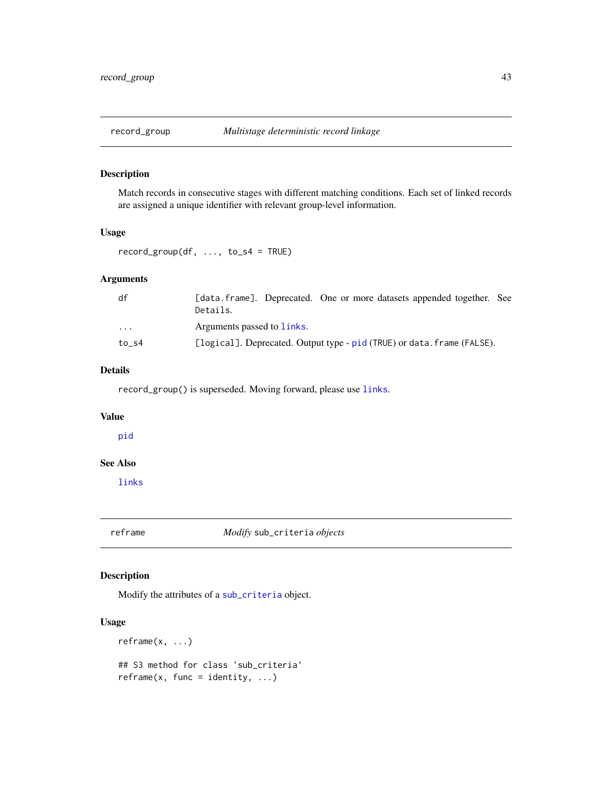<span id="page-42-0"></span>

#### Description

Match records in consecutive stages with different matching conditions. Each set of linked records are assigned a unique identifier with relevant group-level information.

## Usage

```
record_group(df, ..., to_s4 = TRUE)
```
## Arguments

| df                      | [data.frame]. Deprecated. One or more datasets appended together. See<br>Details. |
|-------------------------|-----------------------------------------------------------------------------------|
| $\cdot$ $\cdot$ $\cdot$ | Arguments passed to links.                                                        |
| to s4                   | [logical]. Deprecated. Output type - pid (TRUE) or data. frame (FALSE).           |

## Details

record\_group() is superseded. Moving forward, please use [links](#page-17-1).

#### Value

[pid](#page-39-1)

## See Also

[links](#page-17-1)

<span id="page-42-1"></span>reframe *Modify* sub\_criteria *objects*

## Description

Modify the attributes of a [sub\\_criteria](#page-48-1) object.

### Usage

reframe(x, ...) ## S3 method for class 'sub\_criteria'  $refname(x, func = identity, ...)$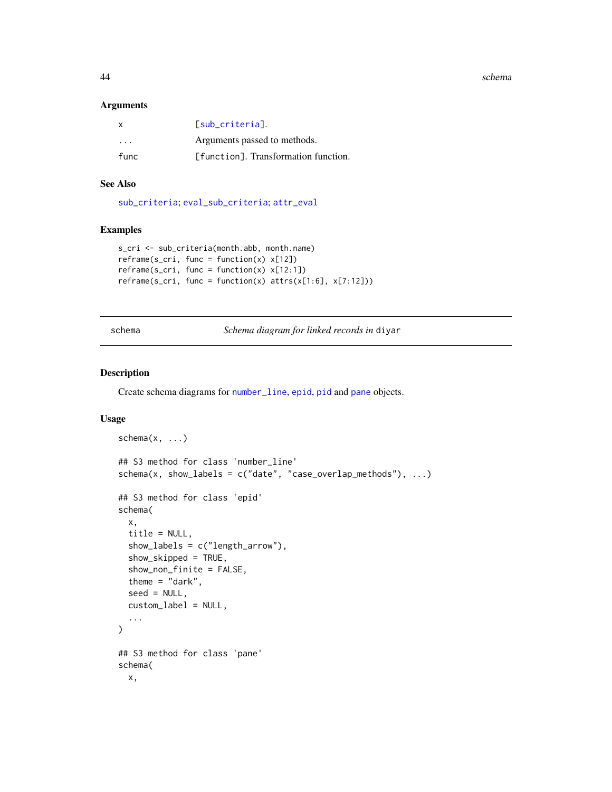44 schema

#### Arguments

| $\times$                | [sub criteria].                      |
|-------------------------|--------------------------------------|
| $\cdot$ $\cdot$ $\cdot$ | Arguments passed to methods.         |
| func                    | [function]. Transformation function. |

## See Also

[sub\\_criteria](#page-48-1); [eval\\_sub\\_criteria](#page-15-1); [attr\\_eval](#page-1-1)

#### Examples

```
s_cri <- sub_criteria(month.abb, month.name)
reframe(s_cri, func = function(x) x[12])
refname(s_cri, func = function(x) x[12:1])reframe(s_cri, func = function(x) attrs(x[1:6], x[7:12]))
```
<span id="page-43-1"></span>schema *Schema diagram for linked records in* diyar

#### Description

Create schema diagrams for [number\\_line](#page-30-1), [epid](#page-6-1), [pid](#page-39-1) and [pane](#page-35-1) objects.

#### Usage

```
schema(x, \ldots)## S3 method for class 'number_line'
schem(x, show\_labels = c("date", "case\_overlap\_methods"), ...)## S3 method for class 'epid'
schema(
  x,
  title = NULL,
  show_labels = c("length_arrow"),
  show_skipped = TRUE,
  show_non_finite = FALSE,
  theme = "dark",
  seed = NULL,
 custom_label = NULL,
  ...
)
## S3 method for class 'pane'
schema(
 x,
```
<span id="page-43-0"></span>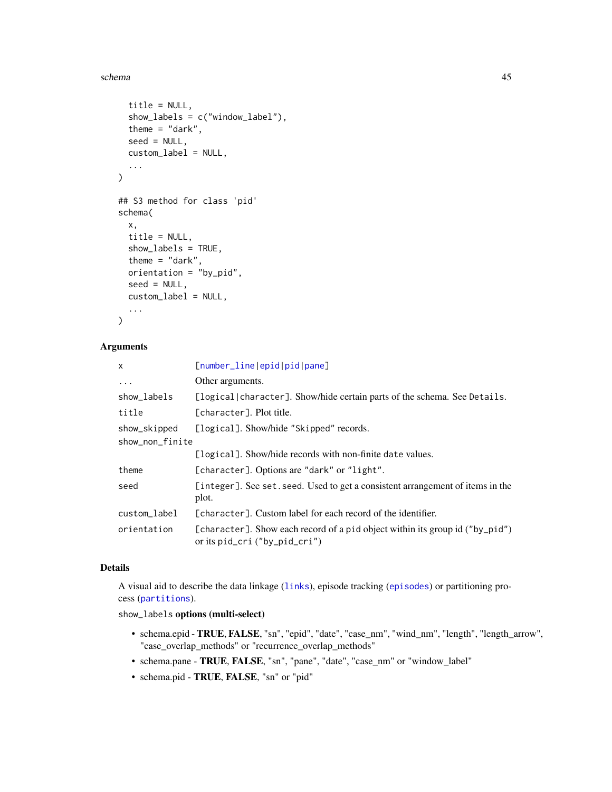#### <span id="page-44-0"></span>schema 45

```
title = NULL,
  show_labels = c("window_label"),
  theme = "dark".
  seed = NULL,
  custom_label = NULL,
  ...
\mathcal{L}## S3 method for class 'pid'
schema(
 x,
  title = NULL,
  show_labels = TRUE,
  theme = "dark",orientation = "by_pid",
  seed = NULL,
 custom_label = NULL,
  ...
\lambda
```
## Arguments

| x               | [number_line epid pid pane]                                                                                   |
|-----------------|---------------------------------------------------------------------------------------------------------------|
| .               | Other arguments.                                                                                              |
| show_labels     | [logical character]. Show/hide certain parts of the schema. See Details.                                      |
| title           | [character]. Plot title.                                                                                      |
| show_skipped    | [logical]. Show/hide "Skipped" records.                                                                       |
| show_non_finite |                                                                                                               |
|                 | [logical]. Show/hide records with non-finite date values.                                                     |
| theme           | [character]. Options are "dark" or "light".                                                                   |
| seed            | [integer]. See set. seed. Used to get a consistent arrangement of items in the<br>plot.                       |
| custom_label    | [character]. Custom label for each record of the identifier.                                                  |
| orientation     | [character]. Show each record of a pid object within its group id ("by_pid")<br>or its pid_cri ("by_pid_cri") |

## Details

A visual aid to describe the data linkage ([links](#page-17-1)), episode tracking ([episodes](#page-8-1)) or partitioning process ([partitions](#page-36-1)).

show\_labels options (multi-select)

- schema.epid TRUE, FALSE, "sn", "epid", "date", "case\_nm", "wind\_nm", "length", "length\_arrow", "case\_overlap\_methods" or "recurrence\_overlap\_methods"
- schema.pane TRUE, FALSE, "sn", "pane", "date", "case\_nm" or "window\_label"
- schema.pid TRUE, FALSE, "sn" or "pid"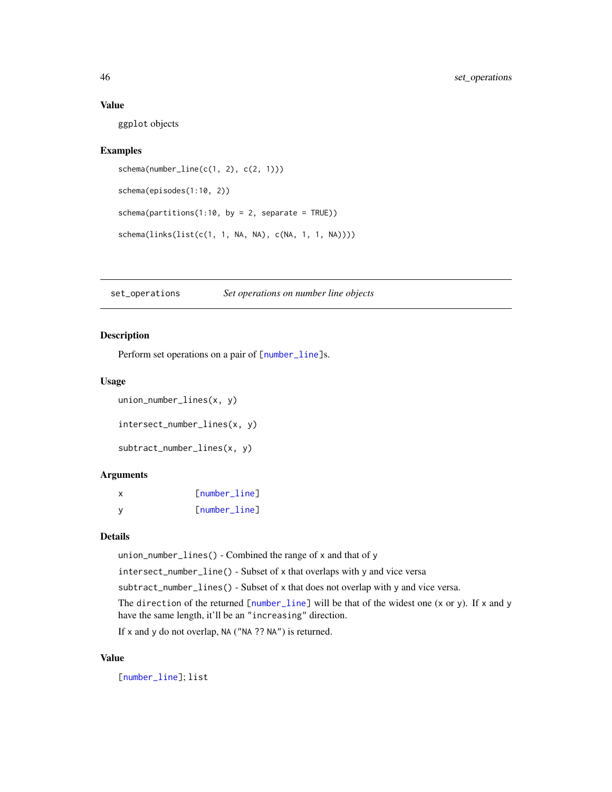#### Value

ggplot objects

#### Examples

```
schema(number_line(c(1, 2), c(2, 1)))
schema(episodes(1:10, 2))
schema(partitions(1:10, by = 2, separate = TRUE))schema(links(list(c(1, 1, NA, NA), c(NA, 1, 1, NA))))
```
<span id="page-45-1"></span>set\_operations *Set operations on number line objects*

## Description

Perform set operations on a pair of [\[number\\_line\]](#page-27-1)s.

#### Usage

```
union_number_lines(x, y)
```

```
intersect_number_lines(x, y)
```

```
subtract_number_lines(x, y)
```
#### **Arguments**

| x | [number_line] |
|---|---------------|
|   | [number_line] |

### Details

union\_number\_lines() - Combined the range of x and that of y

intersect\_number\_line() - Subset of x that overlaps with y and vice versa

subtract\_number\_lines() - Subset of x that does not overlap with y and vice versa.

The direction of the returned  $[number\_line]$  will be that of the widest one  $(x \text{ or } y)$ . If x and y have the same length, it'll be an "increasing" direction.

If x and y do not overlap, NA ("NA ?? NA") is returned.

#### Value

[\[number\\_line\]](#page-27-1); list

<span id="page-45-0"></span>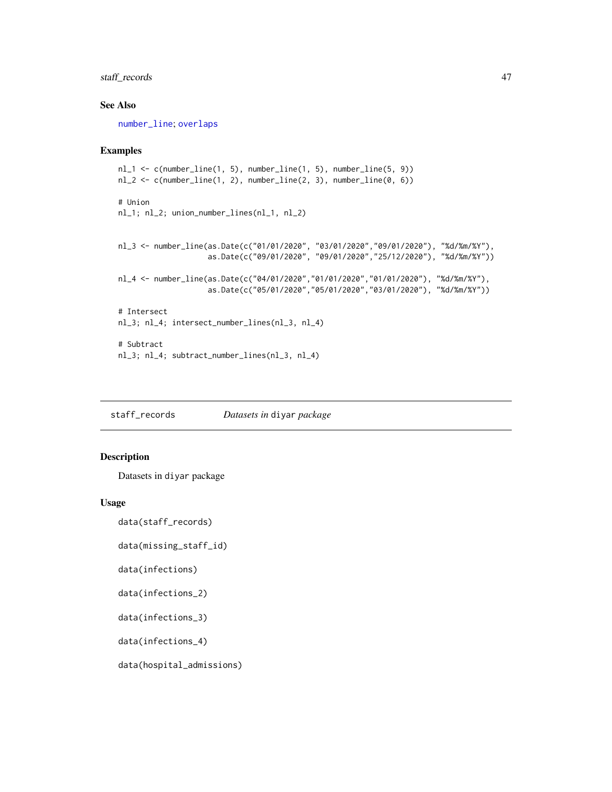## <span id="page-46-0"></span>staff\_records 47

## See Also

[number\\_line](#page-27-1); [overlaps](#page-31-1)

#### Examples

```
nl_1 <- c(number_line(1, 5), number_line(1, 5), number_line(5, 9))
nl_2 <- c(number_line(1, 2), number_line(2, 3), number_line(0, 6))
# Union
nl_1; nl_2; union_number_lines(nl_1, nl_2)
nl_3 <- number_line(as.Date(c("01/01/2020", "03/01/2020","09/01/2020"), "%d/%m/%Y"),
                    as.Date(c("09/01/2020", "09/01/2020","25/12/2020"), "%d/%m/%Y"))
nl_4 <- number_line(as.Date(c("04/01/2020","01/01/2020","01/01/2020"), "%d/%m/%Y"),
                    as.Date(c("05/01/2020","05/01/2020","03/01/2020"), "%d/%m/%Y"))
# Intersect
nl_3; nl_4; intersect_number_lines(nl_3, nl_4)
# Subtract
nl_3; nl_4; subtract_number_lines(nl_3, nl_4)
```
staff\_records *Datasets in* diyar *package*

#### Description

Datasets in diyar package

#### Usage

```
data(staff_records)
```
data(missing\_staff\_id)

data(infections)

```
data(infections_2)
```
data(infections\_3)

data(infections\_4)

data(hospital\_admissions)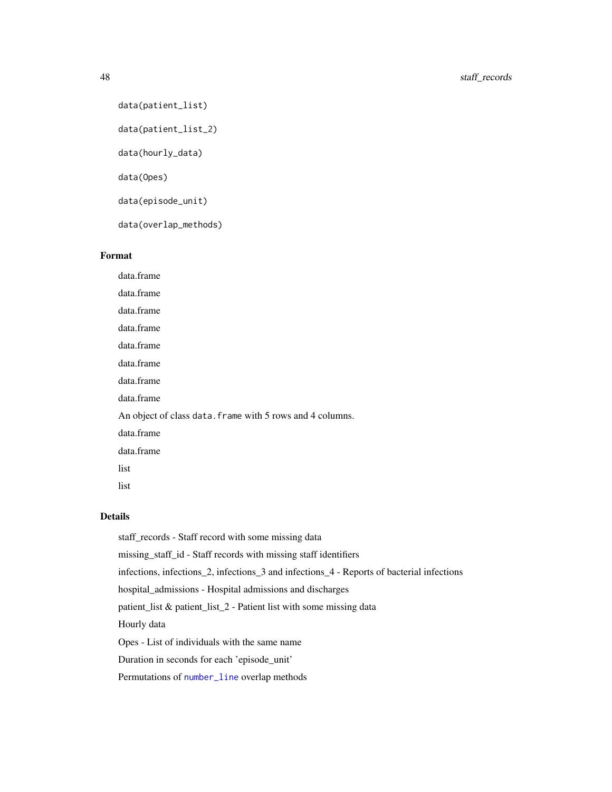```
data(patient_list)
```
data(patient\_list\_2)

data(hourly\_data)

data(Opes)

data(episode\_unit)

data(overlap\_methods)

## Format

data.frame data.frame data.frame data.frame data.frame data.frame data.frame data.frame An object of class data. frame with 5 rows and 4 columns. data.frame data.frame list

list

## Details

staff\_records - Staff record with some missing data missing\_staff\_id - Staff records with missing staff identifiers infections, infections\_2, infections\_3 and infections\_4 - Reports of bacterial infections hospital\_admissions - Hospital admissions and discharges patient\_list & patient\_list\_2 - Patient list with some missing data Hourly data Opes - List of individuals with the same name Duration in seconds for each 'episode\_unit' Permutations of [number\\_line](#page-27-1) overlap methods

<span id="page-47-0"></span>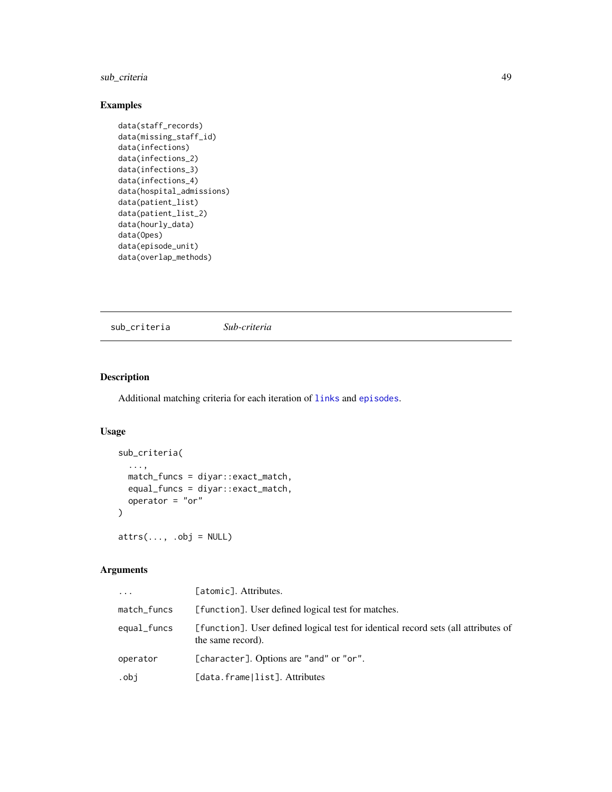## <span id="page-48-0"></span>sub\_criteria 49

## Examples

```
data(staff_records)
data(missing_staff_id)
data(infections)
data(infections_2)
data(infections_3)
data(infections_4)
data(hospital_admissions)
data(patient_list)
data(patient_list_2)
data(hourly_data)
data(Opes)
data(episode_unit)
data(overlap_methods)
```
<span id="page-48-1"></span>sub\_criteria *Sub-criteria*

## Description

Additional matching criteria for each iteration of [links](#page-17-1) and [episodes](#page-8-1).

## Usage

```
sub_criteria(
  ...,
 match_funcs = diyar::exact_match,
 equal_funcs = diyar::exact_match,
  operator = "or"
)
```
## $attrs(\ldots, .obj = NULL)$

## Arguments

| $\cdots$    | [atomic]. Attributes.                                                                                   |
|-------------|---------------------------------------------------------------------------------------------------------|
| match_funcs | [function]. User defined logical test for matches.                                                      |
| equal_funcs | [function]. User defined logical test for identical record sets (all attributes of<br>the same record). |
| operator    | [character]. Options are "and" or "or".                                                                 |
| .obj        | [data.frame list]. Attributes                                                                           |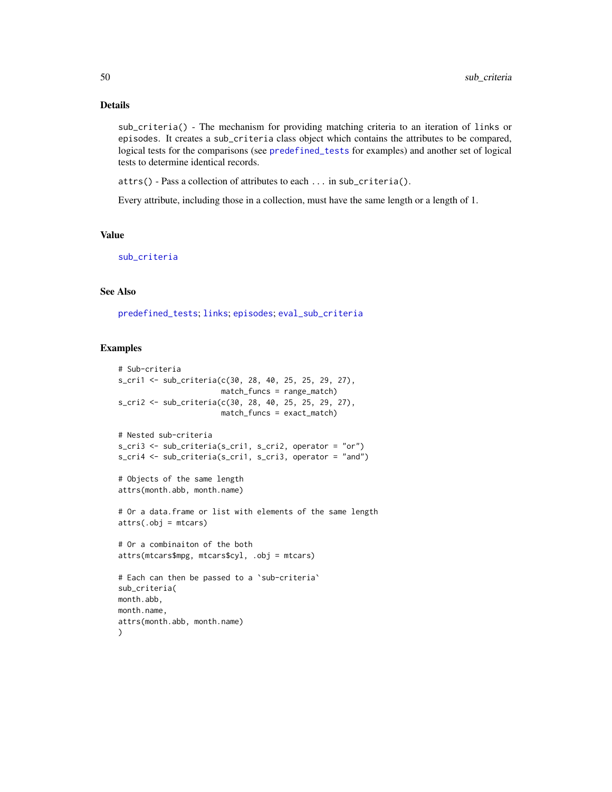## Details

sub\_criteria() - The mechanism for providing matching criteria to an iteration of links or episodes. It creates a sub\_criteria class object which contains the attributes to be compared, logical tests for the comparisons (see [predefined\\_tests](#page-40-2) for examples) and another set of logical tests to determine identical records.

attrs() - Pass a collection of attributes to each ... in sub\_criteria().

Every attribute, including those in a collection, must have the same length or a length of 1.

## Value

[sub\\_criteria](#page-48-1)

## See Also

[predefined\\_tests](#page-40-2); [links](#page-17-1); [episodes](#page-8-1); [eval\\_sub\\_criteria](#page-15-1)

```
# Sub-criteria
s_cri1 <- sub_criteria(c(30, 28, 40, 25, 25, 29, 27),
                       match_funcs = range_match)
s_cri2 <- sub_criteria(c(30, 28, 40, 25, 25, 29, 27),
                       match_funcs = exact_match)
# Nested sub-criteria
s_cri3 <- sub_criteria(s_cri1, s_cri2, operator = "or")
s_cri4 <- sub_criteria(s_cri1, s_cri3, operator = "and")
# Objects of the same length
attrs(month.abb, month.name)
# Or a data.frame or list with elements of the same length
attrs(.obj = mtcars)
# Or a combinaiton of the both
attrs(mtcars$mpg, mtcars$cyl, .obj = mtcars)
# Each can then be passed to a `sub-criteria`
sub_criteria(
month.abb,
month.name,
attrs(month.abb, month.name)
)
```
<span id="page-49-0"></span>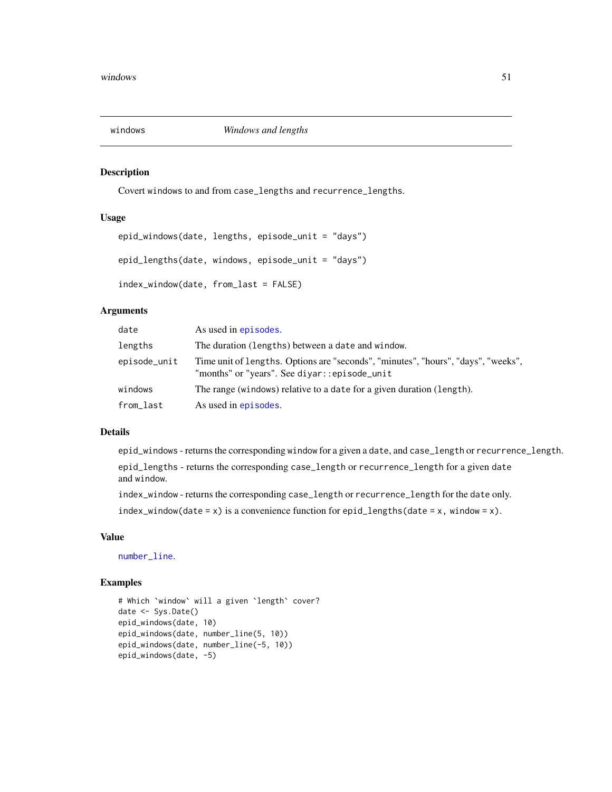<span id="page-50-1"></span><span id="page-50-0"></span>

## Description

Covert windows to and from case\_lengths and recurrence\_lengths.

#### Usage

```
epid_windows(date, lengths, episode_unit = "days")
epid_lengths(date, windows, episode_unit = "days")
index_window(date, from_last = FALSE)
```
## Arguments

| date         | As used in episodes.                                                                                                              |
|--------------|-----------------------------------------------------------------------------------------------------------------------------------|
| lengths      | The duration (lengths) between a date and window.                                                                                 |
| episode_unit | Time unit of lengths. Options are "seconds", "minutes", "hours", "days", "weeks",<br>"months" or "years". See diyar::episode_unit |
| windows      | The range (windows) relative to a date for a given duration (length).                                                             |
| from_last    | As used in episodes.                                                                                                              |

#### Details

epid\_windows - returns the corresponding window for a given a date, and case\_length or recurrence\_length.

epid\_lengths - returns the corresponding case\_length or recurrence\_length for a given date and window.

index\_window - returns the corresponding case\_length or recurrence\_length for the date only.

 $index_w$ indow(date = x) is a convenience function for epid\_lengths(date = x, window = x).

#### Value

[number\\_line](#page-27-1).

```
# Which `window` will a given `length` cover?
date <- Sys.Date()
epid_windows(date, 10)
epid_windows(date, number_line(5, 10))
epid_windows(date, number_line(-5, 10))
epid_windows(date, -5)
```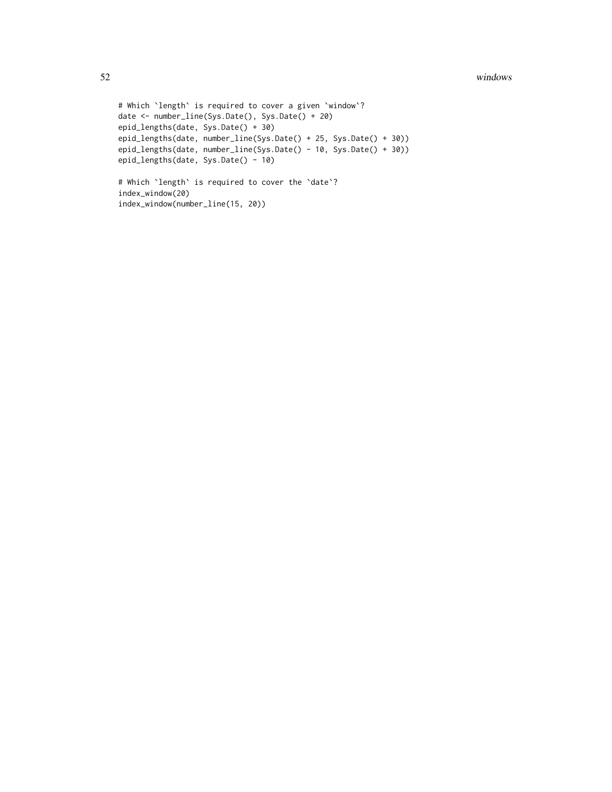#### 52 windows windows and the contract of the contract of the contract of the contract of the contract of the contract of the contract of the contract of the contract of the contract of the contract of the contract of the con

```
# Which `length` is required to cover a given `window`?
date <- number_line(Sys.Date(), Sys.Date() + 20)
epid_lengths(date, Sys.Date() + 30)
epid_lengths(date, number_line(Sys.Date() + 25, Sys.Date() + 30))
epid_lengths(date, number_line(Sys.Date() - 10, Sys.Date() + 30))
epid_lengths(date, Sys.Date() - 10)
# Which `length` is required to cover the `date`?
index_window(20)
index_window(number_line(15, 20))
```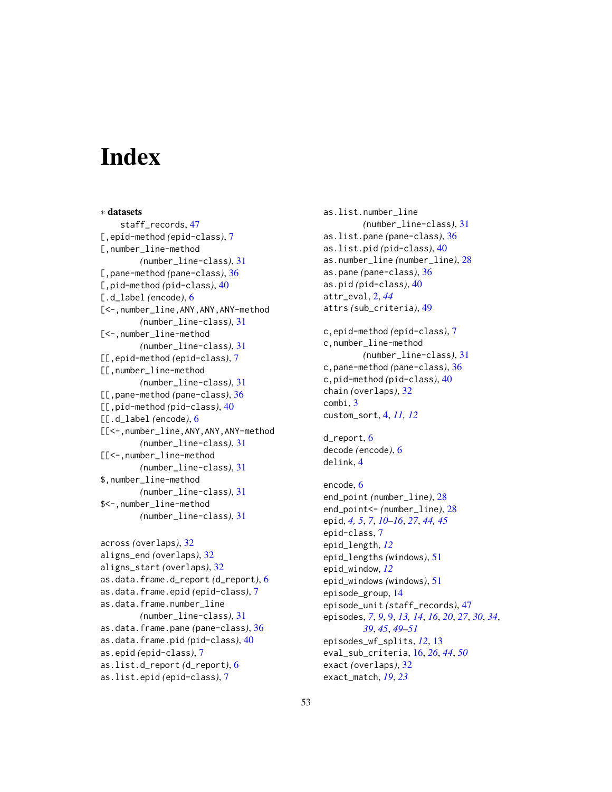# <span id="page-52-0"></span>**Index**

∗ datasets staff\_records, [47](#page-46-0) [,epid-method *(*epid-class*)*, [7](#page-6-0) [,number\_line-method *(*number\_line-class*)*, [31](#page-30-0) [,pane-method *(*pane-class*)*, [36](#page-35-0) [,pid-method *(*pid-class*)*, [40](#page-39-0) [.d\_label *(*encode*)*, [6](#page-5-0) [<-,number\_line,ANY,ANY,ANY-method *(*number\_line-class*)*, [31](#page-30-0) [<-,number\_line-method *(*number\_line-class*)*, [31](#page-30-0) [[,epid-method *(*epid-class*)*, [7](#page-6-0) [[,number\_line-method *(*number\_line-class*)*, [31](#page-30-0) [[,pane-method *(*pane-class*)*, [36](#page-35-0) [[,pid-method *(*pid-class*)*, [40](#page-39-0) [[.d\_label *(*encode*)*, [6](#page-5-0) [[<-,number\_line,ANY,ANY,ANY-method *(*number\_line-class*)*, [31](#page-30-0) [[<-,number\_line-method *(*number\_line-class*)*, [31](#page-30-0) \$,number\_line-method *(*number\_line-class*)*, [31](#page-30-0) \$<-,number\_line-method *(*number\_line-class*)*, [31](#page-30-0)

```
across (overlaps), 32
aligns_end (overlaps), 32
aligns_start (overlaps), 32
as.data.frame.d_report (d_report), 6
as.data.frame.epid (epid-class), 7
as.data.frame.number_line
        (number_line-class), 31
as.data.frame.pane (pane-class), 36
as.data.frame.pid (pid-class), 40
as.epid (epid-class), 7
as.list.d_report (d_report), 6
as.list.epid (epid-class), 7
```
as.list.number\_line *(*number\_line-class*)*, [31](#page-30-0) as.list.pane *(*pane-class*)*, [36](#page-35-0) as.list.pid *(*pid-class*)*, [40](#page-39-0) as.number\_line *(*number\_line*)*, [28](#page-27-0) as.pane *(*pane-class*)*, [36](#page-35-0) as.pid *(*pid-class*)*, [40](#page-39-0) attr\_eval, [2,](#page-1-0) *[44](#page-43-0)* attrs *(*sub\_criteria*)*, [49](#page-48-0)

c,epid-method *(*epid-class*)*, [7](#page-6-0) c,number\_line-method *(*number\_line-class*)*, [31](#page-30-0) c,pane-method *(*pane-class*)*, [36](#page-35-0) c,pid-method *(*pid-class*)*, [40](#page-39-0) chain *(*overlaps*)*, [32](#page-31-0) combi, [3](#page-2-0) custom\_sort, [4,](#page-3-0) *[11,](#page-10-0) [12](#page-11-0)*

d\_report, [6](#page-5-0) decode *(*encode*)*, [6](#page-5-0) delink, [4](#page-3-0)

encode, [6](#page-5-0) end\_point *(*number\_line*)*, [28](#page-27-0) end\_point<- *(*number\_line*)*, [28](#page-27-0) epid, *[4,](#page-3-0) [5](#page-4-0)*, *[7](#page-6-0)*, *[10](#page-9-0)[–16](#page-15-0)*, *[27](#page-26-0)*, *[44,](#page-43-0) [45](#page-44-0)* epid-class, [7](#page-6-0) epid\_length, *[12](#page-11-0)* epid\_lengths *(*windows*)*, [51](#page-50-0) epid\_window, *[12](#page-11-0)* epid\_windows *(*windows*)*, [51](#page-50-0) episode\_group, [14](#page-13-0) episode\_unit *(*staff\_records*)*, [47](#page-46-0) episodes, *[7](#page-6-0)*, *[9](#page-8-0)*, [9,](#page-8-0) *[13,](#page-12-0) [14](#page-13-0)*, *[16](#page-15-0)*, *[20](#page-19-0)*, *[27](#page-26-0)*, *[30](#page-29-0)*, *[34](#page-33-0)*, *[39](#page-38-0)*, *[45](#page-44-0)*, *[49](#page-48-0)[–51](#page-50-0)* episodes\_wf\_splits, *[12](#page-11-0)*, [13](#page-12-0) eval\_sub\_criteria, [16,](#page-15-0) *[26](#page-25-0)*, *[44](#page-43-0)*, *[50](#page-49-0)* exact *(*overlaps*)*, [32](#page-31-0) exact\_match, *[19](#page-18-0)*, *[23](#page-22-0)*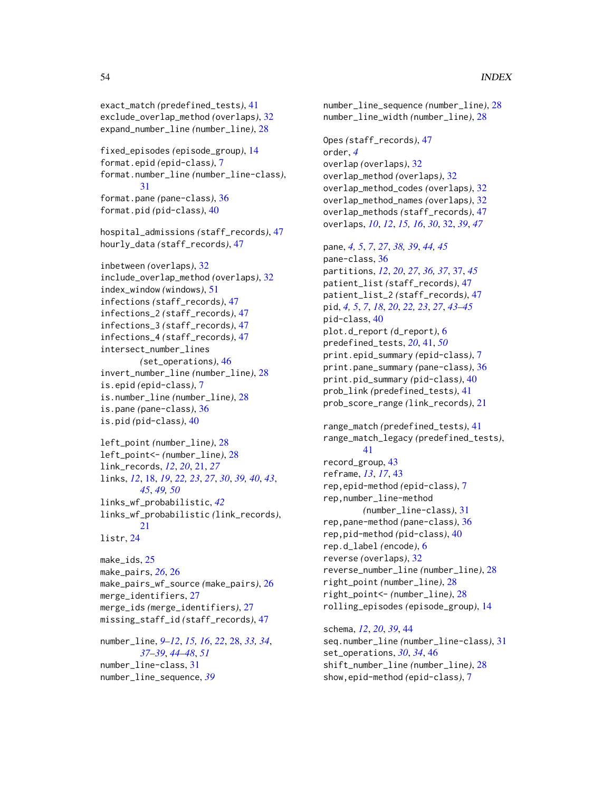```
exact_match (predefined_tests), 41
exclude_overlap_method (overlaps), 32
expand_number_line (number_line), 28
fixed_episodes (episode_group), 14
format.epid (epid-class), 7
format.number_line (number_line-class),
        31
format.pane (pane-class), 36
format.pid (pid-class), 40
hospital_admissions (staff_records), 47
hourly_data (staff_records), 47
inbetween (overlaps), 32
include_overlap_method (overlaps), 32
index_window (windows), 51
infections (staff_records), 47
infections_2 (staff_records), 47
infections_3 (staff_records), 47
infections_4 (staff_records), 47
intersect_number_lines
        (set_operations), 46
invert_number_line (number_line), 28
is.epid (epid-class), 7
is.number_line (number_line), 28
is.pane (pane-class), 36
is.pid (pid-class), 40
left_point (number_line), 28
left_point<- (number_line), 28
link_records, 12, 20, 21, 27
links, 12, 18, 19, 22, 23, 27, 30, 39, 40, 43,
        45, 49, 50
links_wf_probabilistic, 42
links_wf_probabilistic (link_records),
        21
listr, 24
make_ids, 25
make_pairs, 26, 26
make_pairs_wf_source (make_pairs), 26
merge_identifiers, 27
merge_ids (merge_identifiers), 27
missing_staff_id (staff_records), 47
number_line, 9–12, 15, 16, 22, 28, 33, 34,
        37–39, 44–48, 51
number_line-class, 31
number_line_sequence, 39
```

```
number_line_sequence (number_line), 28
number_line_width (number_line), 28
Opes (staff_records), 47
order, 4
overlap (overlaps), 32
overlap_method (overlaps), 32
overlap_method_codes (overlaps), 32
overlap_method_names (overlaps), 32
overlap_methods (staff_records), 47
overlaps, 10, 12, 15, 16, 30, 32, 39, 47
pane, 4, 5, 7, 27, 38, 39, 44, 45
pane-class, 36
partitions, 12, 20, 27, 36, 37, 37, 45
patient_list (staff_records), 47
patient_list_2 (staff_records), 47
pid, 4, 5, 7, 18, 20, 22, 23, 27, 43–45
pid-class, 40
plot.d_report (d_report), 6
predefined_tests, 20, 41, 50
print.epid_summary (epid-class), 7
print.pane_summary (pane-class), 36
print.pid_summary (pid-class), 40
prob_link (predefined_tests), 41
prob_score_range (link_records), 21
range_match (predefined_tests), 41
range_match_legacy (predefined_tests),
        41
record_group, 43
reframe, 13, 17, 43
rep,epid-method (epid-class), 7
rep,number_line-method
         (number_line-class), 31
rep,pane-method (pane-class), 36
rep,pid-method (pid-class), 40
rep.d_label (encode), 6
reverse (overlaps), 32
reverse_number_line (number_line), 28
right_point (number_line), 28
right_point<- (number_line), 28
rolling_episodes (episode_group), 14
schema, 12, 20, 39, 44
seq.number_line (number_line-class), 31
set_operations, 30, 34, 46
shift_number_line (number_line), 28
show,epid-method (epid-class), 7
```